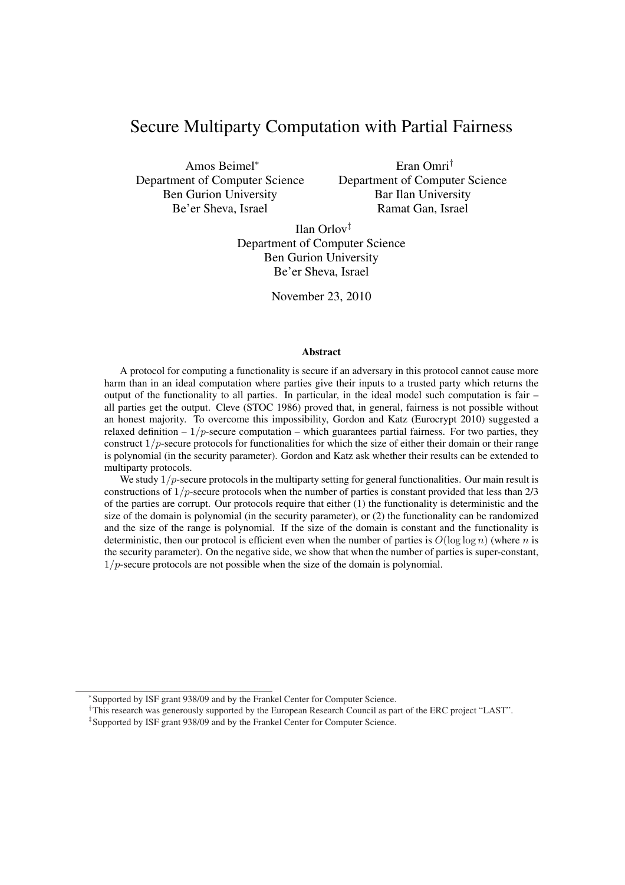# Secure Multiparty Computation with Partial Fairness

Amos Beimel<sup>∗</sup> Department of Computer Science Ben Gurion University Be'er Sheva, Israel

Eran Omri† Department of Computer Science Bar Ilan University Ramat Gan, Israel

Ilan Orlov‡ Department of Computer Science Ben Gurion University Be'er Sheva, Israel

November 23, 2010

### **Abstract**

A protocol for computing a functionality is secure if an adversary in this protocol cannot cause more harm than in an ideal computation where parties give their inputs to a trusted party which returns the output of the functionality to all parties. In particular, in the ideal model such computation is fair – all parties get the output. Cleve (STOC 1986) proved that, in general, fairness is not possible without an honest majority. To overcome this impossibility, Gordon and Katz (Eurocrypt 2010) suggested a relaxed definition  $-1/p$ -secure computation – which guarantees partial fairness. For two parties, they construct  $1/p$ -secure protocols for functionalities for which the size of either their domain or their range is polynomial (in the security parameter). Gordon and Katz ask whether their results can be extended to multiparty protocols.

We study  $1/p$ -secure protocols in the multiparty setting for general functionalities. Our main result is constructions of  $1/p$ -secure protocols when the number of parties is constant provided that less than  $2/3$ of the parties are corrupt. Our protocols require that either (1) the functionality is deterministic and the size of the domain is polynomial (in the security parameter), or (2) the functionality can be randomized and the size of the range is polynomial. If the size of the domain is constant and the functionality is deterministic, then our protocol is efficient even when the number of parties is  $O(\log \log n)$  (where n is the security parameter). On the negative side, we show that when the number of parties is super-constant,  $1/p$ -secure protocols are not possible when the size of the domain is polynomial.

<sup>∗</sup> Supported by ISF grant 938/09 and by the Frankel Center for Computer Science.

<sup>&</sup>lt;sup>†</sup>This research was generously supported by the European Research Council as part of the ERC project "LAST".

<sup>‡</sup> Supported by ISF grant 938/09 and by the Frankel Center for Computer Science.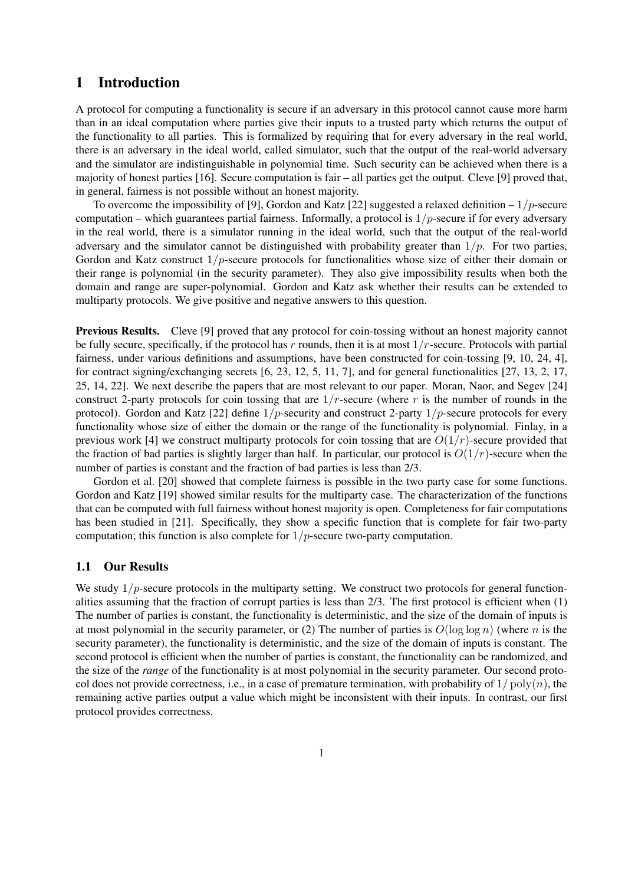# 1 Introduction

A protocol for computing a functionality is secure if an adversary in this protocol cannot cause more harm than in an ideal computation where parties give their inputs to a trusted party which returns the output of the functionality to all parties. This is formalized by requiring that for every adversary in the real world, there is an adversary in the ideal world, called simulator, such that the output of the real-world adversary and the simulator are indistinguishable in polynomial time. Such security can be achieved when there is a majority of honest parties [16]. Secure computation is fair – all parties get the output. Cleve [9] proved that, in general, fairness is not possible without an honest majority.

To overcome the impossibility of [9], Gordon and Katz [22] suggested a relaxed definition  $-1/p$ -secure computation – which guarantees partial fairness. Informally, a protocol is  $1/p$ -secure if for every adversary in the real world, there is a simulator running in the ideal world, such that the output of the real-world adversary and the simulator cannot be distinguished with probability greater than  $1/p$ . For two parties, Gordon and Katz construct  $1/p$ -secure protocols for functionalities whose size of either their domain or their range is polynomial (in the security parameter). They also give impossibility results when both the domain and range are super-polynomial. Gordon and Katz ask whether their results can be extended to multiparty protocols. We give positive and negative answers to this question.

Previous Results. Cleve [9] proved that any protocol for coin-tossing without an honest majority cannot be fully secure, specifically, if the protocol has r rounds, then it is at most  $1/r$ -secure. Protocols with partial fairness, under various definitions and assumptions, have been constructed for coin-tossing [9, 10, 24, 4], for contract signing/exchanging secrets [6, 23, 12, 5, 11, 7], and for general functionalities [27, 13, 2, 17, 25, 14, 22]. We next describe the papers that are most relevant to our paper. Moran, Naor, and Segev [24] construct 2-party protocols for coin tossing that are  $1/r$ -secure (where r is the number of rounds in the protocol). Gordon and Katz [22] define  $1/p$ -security and construct 2-party  $1/p$ -secure protocols for every functionality whose size of either the domain or the range of the functionality is polynomial. Finlay, in a previous work [4] we construct multiparty protocols for coin tossing that are  $O(1/r)$ -secure provided that the fraction of bad parties is slightly larger than half. In particular, our protocol is  $O(1/r)$ -secure when the number of parties is constant and the fraction of bad parties is less than 2/3.

Gordon et al. [20] showed that complete fairness is possible in the two party case for some functions. Gordon and Katz [19] showed similar results for the multiparty case. The characterization of the functions that can be computed with full fairness without honest majority is open. Completeness for fair computations has been studied in [21]. Specifically, they show a specific function that is complete for fair two-party computation; this function is also complete for  $1/p$ -secure two-party computation.

## 1.1 Our Results

We study  $1/p$ -secure protocols in the multiparty setting. We construct two protocols for general functionalities assuming that the fraction of corrupt parties is less than 2/3. The first protocol is efficient when (1) The number of parties is constant, the functionality is deterministic, and the size of the domain of inputs is at most polynomial in the security parameter, or (2) The number of parties is  $O(\log \log n)$  (where n is the security parameter), the functionality is deterministic, and the size of the domain of inputs is constant. The second protocol is efficient when the number of parties is constant, the functionality can be randomized, and the size of the *range* of the functionality is at most polynomial in the security parameter. Our second protocol does not provide correctness, i.e., in a case of premature termination, with probability of  $1/\text{poly}(n)$ , the remaining active parties output a value which might be inconsistent with their inputs. In contrast, our first protocol provides correctness.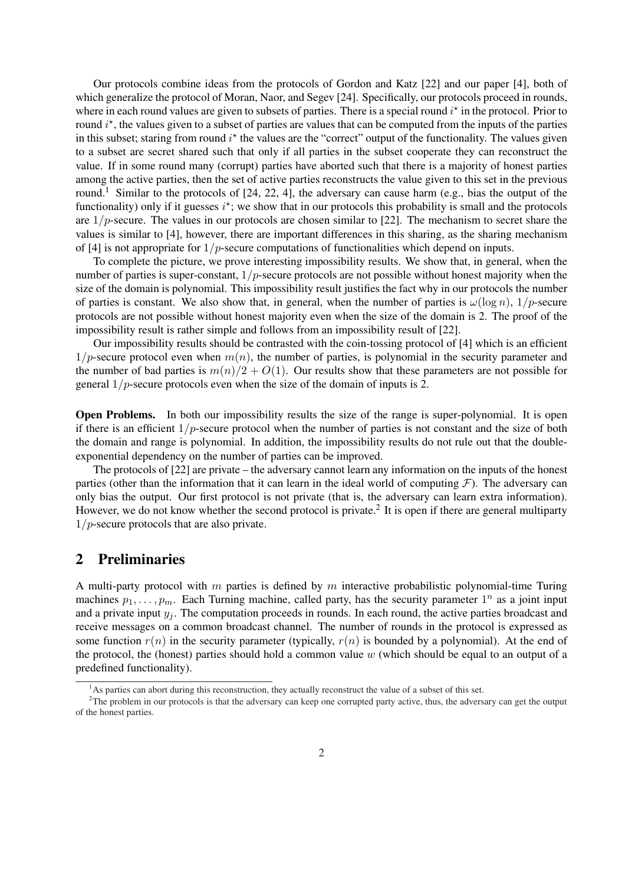Our protocols combine ideas from the protocols of Gordon and Katz [22] and our paper [4], both of which generalize the protocol of Moran, Naor, and Segev [24]. Specifically, our protocols proceed in rounds, where in each round values are given to subsets of parties. There is a special round  $i^*$  in the protocol. Prior to round  $i^*$ , the values given to a subset of parties are values that can be computed from the inputs of the parties in this subset; staring from round  $i^*$  the values are the "correct" output of the functionality. The values given to a subset are secret shared such that only if all parties in the subset cooperate they can reconstruct the value. If in some round many (corrupt) parties have aborted such that there is a majority of honest parties among the active parties, then the set of active parties reconstructs the value given to this set in the previous round.<sup>1</sup> Similar to the protocols of [24, 22, 4], the adversary can cause harm (e.g., bias the output of the functionality) only if it guesses  $i^*$ ; we show that in our protocols this probability is small and the protocols are  $1/p$ -secure. The values in our protocols are chosen similar to [22]. The mechanism to secret share the values is similar to [4], however, there are important differences in this sharing, as the sharing mechanism of [4] is not appropriate for  $1/p$ -secure computations of functionalities which depend on inputs.

To complete the picture, we prove interesting impossibility results. We show that, in general, when the number of parties is super-constant,  $1/p$ -secure protocols are not possible without honest majority when the size of the domain is polynomial. This impossibility result justifies the fact why in our protocols the number of parties is constant. We also show that, in general, when the number of parties is  $\omega(\log n)$ ,  $1/p$ -secure protocols are not possible without honest majority even when the size of the domain is 2. The proof of the impossibility result is rather simple and follows from an impossibility result of [22].

Our impossibility results should be contrasted with the coin-tossing protocol of [4] which is an efficient  $1/p$ -secure protocol even when  $m(n)$ , the number of parties, is polynomial in the security parameter and the number of bad parties is  $m(n)/2 + O(1)$ . Our results show that these parameters are not possible for general  $1/p$ -secure protocols even when the size of the domain of inputs is 2.

Open Problems. In both our impossibility results the size of the range is super-polynomial. It is open if there is an efficient  $1/p$ -secure protocol when the number of parties is not constant and the size of both the domain and range is polynomial. In addition, the impossibility results do not rule out that the doubleexponential dependency on the number of parties can be improved.

The protocols of [22] are private – the adversary cannot learn any information on the inputs of the honest parties (other than the information that it can learn in the ideal world of computing  $\mathcal{F}$ ). The adversary can only bias the output. Our first protocol is not private (that is, the adversary can learn extra information). However, we do not know whether the second protocol is private.<sup>2</sup> It is open if there are general multiparty  $1/p$ -secure protocols that are also private.

# 2 Preliminaries

A multi-party protocol with  $m$  parties is defined by  $m$  interactive probabilistic polynomial-time Turing machines  $p_1, \ldots, p_m$ . Each Turning machine, called party, has the security parameter  $1^n$  as a joint input and a private input  $y_i$ . The computation proceeds in rounds. In each round, the active parties broadcast and receive messages on a common broadcast channel. The number of rounds in the protocol is expressed as some function  $r(n)$  in the security parameter (typically,  $r(n)$  is bounded by a polynomial). At the end of the protocol, the (honest) parties should hold a common value  $w$  (which should be equal to an output of a predefined functionality).

 $<sup>1</sup>$ As parties can abort during this reconstruction, they actually reconstruct the value of a subset of this set.</sup>

<sup>&</sup>lt;sup>2</sup>The problem in our protocols is that the adversary can keep one corrupted party active, thus, the adversary can get the output of the honest parties.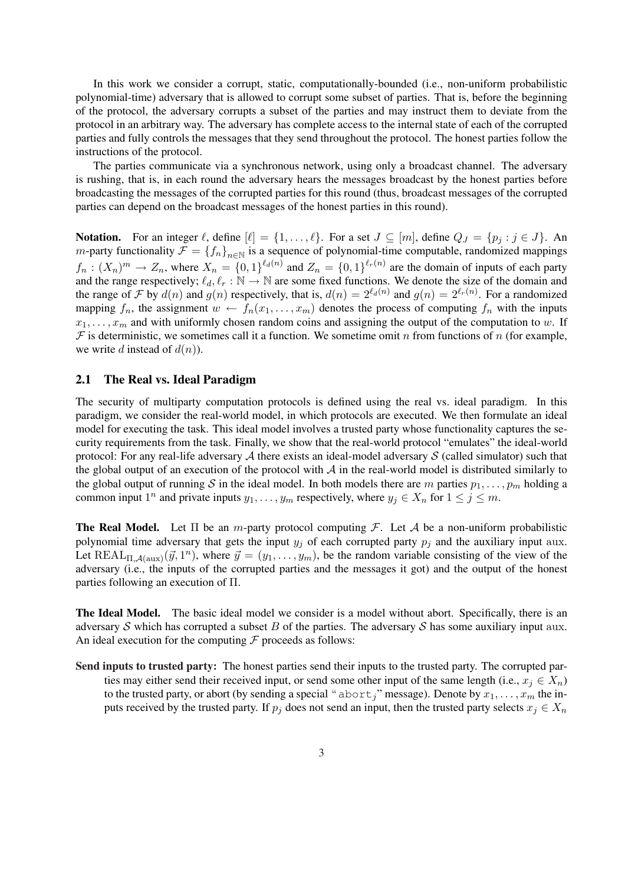In this work we consider a corrupt, static, computationally-bounded (i.e., non-uniform probabilistic polynomial-time) adversary that is allowed to corrupt some subset of parties. That is, before the beginning of the protocol, the adversary corrupts a subset of the parties and may instruct them to deviate from the protocol in an arbitrary way. The adversary has complete access to the internal state of each of the corrupted parties and fully controls the messages that they send throughout the protocol. The honest parties follow the instructions of the protocol.

The parties communicate via a synchronous network, using only a broadcast channel. The adversary is rushing, that is, in each round the adversary hears the messages broadcast by the honest parties before broadcasting the messages of the corrupted parties for this round (thus, broadcast messages of the corrupted parties can depend on the broadcast messages of the honest parties in this round).

Notation. For an integer  $\ell$ , define  $[\ell] = \{1, \ldots, \ell\}$ . For a set  $J \subseteq [m]$ , define  $Q_J = \{p_j : j \in J\}$ . An *m*-party functionality  $\mathcal{F} = \{f_n\}_{n\in\mathbb{N}}$  is a sequence of polynomial-time computable, randomized mappings  $f_n: (X_n)^m \to Z_n$ , where  $X_n = \{0,1\}^{\ell_d(n)}$  and  $Z_n = \{0,1\}^{\ell_r(n)}$  are the domain of inputs of each party and the range respectively;  $\ell_d, \ell_r : \mathbb{N} \to \mathbb{N}$  are some fixed functions. We denote the size of the domain and the range of F by  $d(n)$  and  $g(n)$  respectively, that is,  $d(n) = 2^{\ell_d(n)}$  and  $g(n) = 2^{\ell_r(n)}$ . For a randomized mapping  $f_n$ , the assignment  $w \leftarrow f_n(x_1, \ldots, x_m)$  denotes the process of computing  $f_n$  with the inputs  $x_1, \ldots, x_m$  and with uniformly chosen random coins and assigning the output of the computation to w. If  $F$  is deterministic, we sometimes call it a function. We sometime omit n from functions of n (for example, we write d instead of  $d(n)$ ).

## 2.1 The Real vs. Ideal Paradigm

The security of multiparty computation protocols is defined using the real vs. ideal paradigm. In this paradigm, we consider the real-world model, in which protocols are executed. We then formulate an ideal model for executing the task. This ideal model involves a trusted party whose functionality captures the security requirements from the task. Finally, we show that the real-world protocol "emulates" the ideal-world protocol: For any real-life adversary  $A$  there exists an ideal-model adversary  $S$  (called simulator) such that the global output of an execution of the protocol with  $A$  in the real-world model is distributed similarly to the global output of running S in the ideal model. In both models there are m parties  $p_1, \ldots, p_m$  holding a common input  $1^n$  and private inputs  $y_1, \ldots, y_m$  respectively, where  $y_j \in X_n$  for  $1 \le j \le m$ .

**The Real Model.** Let  $\Pi$  be an m-party protocol computing F. Let A be a non-uniform probabilistic polynomial time adversary that gets the input  $y_i$  of each corrupted party  $p_i$  and the auxiliary input aux. Let  $REAL_{\Pi,\mathcal{A}(\text{aux})}(\vec{y},1^n)$ , where  $\vec{y} = (y_1,\ldots,y_m)$ , be the random variable consisting of the view of the adversary (i.e., the inputs of the corrupted parties and the messages it got) and the output of the honest parties following an execution of Π.

The Ideal Model. The basic ideal model we consider is a model without abort. Specifically, there is an adversary S which has corrupted a subset B of the parties. The adversary S has some auxiliary input aux. An ideal execution for the computing  $\mathcal F$  proceeds as follows:

Send inputs to trusted party: The honest parties send their inputs to the trusted party. The corrupted parties may either send their received input, or send some other input of the same length (i.e.,  $x_j \in X_n$ ) to the trusted party, or abort (by sending a special " $abort_j$ " message). Denote by  $x_1, \ldots, x_m$  the inputs received by the trusted party. If  $p_i$  does not send an input, then the trusted party selects  $x_i \in X_n$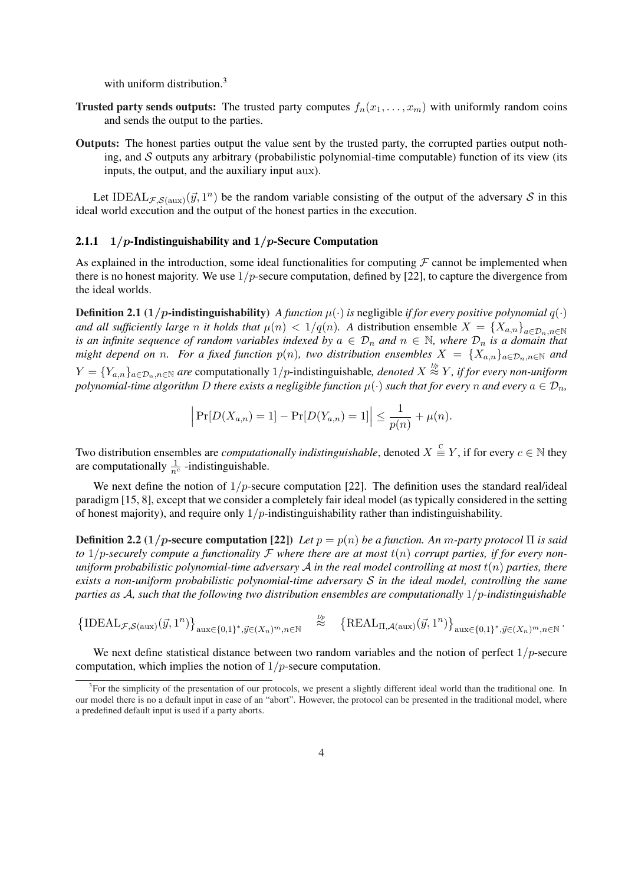with uniform distribution.<sup>3</sup>

- Trusted party sends outputs: The trusted party computes  $f_n(x_1, \ldots, x_m)$  with uniformly random coins and sends the output to the parties.
- Outputs: The honest parties output the value sent by the trusted party, the corrupted parties output nothing, and  $S$  outputs any arbitrary (probabilistic polynomial-time computable) function of its view (its inputs, the output, and the auxiliary input aux).

Let IDEAL $_{\mathcal{F},\mathcal{S}(\text{aux})}(\vec{y},1^n)$  be the random variable consisting of the output of the adversary S in this ideal world execution and the output of the honest parties in the execution.

# 2.1.1  $1/p$ -Indistinguishability and  $1/p$ -Secure Computation

As explained in the introduction, some ideal functionalities for computing  $\mathcal F$  cannot be implemented when there is no honest majority. We use  $1/p$ -secure computation, defined by [22], to capture the divergence from the ideal worlds.

**Definition 2.1** (1/p-indistinguishability) *A function*  $\mu(\cdot)$  *is* negligible *if for every positive polynomial*  $q(\cdot)$ *and all sufficiently large n it holds that*  $\mu(n) < 1/q(n)$ . A distribution ensemble  $X = \{X_{a,n}\}_{a \in \mathcal{D}_n, n \in \mathbb{N}}$ *is an infinite sequence of random variables indexed by*  $a \in \mathcal{D}_n$  *and*  $n \in \mathbb{N}$ , *where*  $\mathcal{D}_n$  *is a domain that might depend on* n. For a fixed function  $p(n)$ , two distribution ensembles  $X = \{X_{a,n}\}_{a \in \mathcal{D}_n, n \in \mathbb{N}}$  and  $Y = \{Y_{a,n}\}_{a \in \mathcal{D}_n, n \in \mathbb{N}}$  are computationally  $1/p$ -indistinguishable, *denoted*  $X \stackrel{\text{1/p}}{\approx} Y$ , *if for every non-uniform polynomial-time algorithm* D *there exists a negligible function*  $\mu(\cdot)$  *such that for every* n *and every*  $a \in \mathcal{D}_n$ *,* 

$$
\left| \Pr[D(X_{a,n}) = 1] - \Pr[D(Y_{a,n}) = 1] \right| \le \frac{1}{p(n)} + \mu(n).
$$

Two distribution ensembles are *computationally indistinguishable*, denoted  $X \stackrel{c}{\equiv} Y$ , if for every  $c \in \mathbb{N}$  they are computationally  $\frac{1}{n^c}$  -indistinguishable.

We next define the notion of  $1/p$ -secure computation [22]. The definition uses the standard real/ideal paradigm [15, 8], except that we consider a completely fair ideal model (as typically considered in the setting of honest majority), and require only  $1/p$ -indistinguishability rather than indistinguishability.

**Definition 2.2** (1/p-secure computation [22]) *Let*  $p = p(n)$  *be a function. An* m-party protocol  $\Pi$  *is said to*  $1/p$ -securely compute a functionality  $F$  where there are at most  $t(n)$  corrupt parties, if for every non*uniform probabilistic polynomial-time adversary* A *in the real model controlling at most* t(n) *parties, there exists a non-uniform probabilistic polynomial-time adversary* S *in the ideal model, controlling the same parties as* A*, such that the following two distribution ensembles are computationally* 1/p*-indistinguishable*

$$
\left\{\mathrm{IDEAL}_{\mathcal{F},\mathcal{S}(\mathrm{aux})}(\vec{y},1^n)\right\}_{\mathrm{aux}\in\{0,1\}^*,\vec{y}\in(X_n)^m,n\in\mathbb{N}}\quad\overset{\textit{lp}}{\approx}\quad\left\{\mathrm{REAL}_{\Pi,\mathcal{A}(\mathrm{aux})}(\vec{y},1^n)\right\}_{\mathrm{aux}\in\{0,1\}^*,\vec{y}\in(X_n)^m,n\in\mathbb{N}}.
$$

We next define statistical distance between two random variables and the notion of perfect  $1/p$ -secure computation, which implies the notion of  $1/p$ -secure computation.

<sup>&</sup>lt;sup>3</sup>For the simplicity of the presentation of our protocols, we present a slightly different ideal world than the traditional one. In our model there is no a default input in case of an "abort". However, the protocol can be presented in the traditional model, where a predefined default input is used if a party aborts.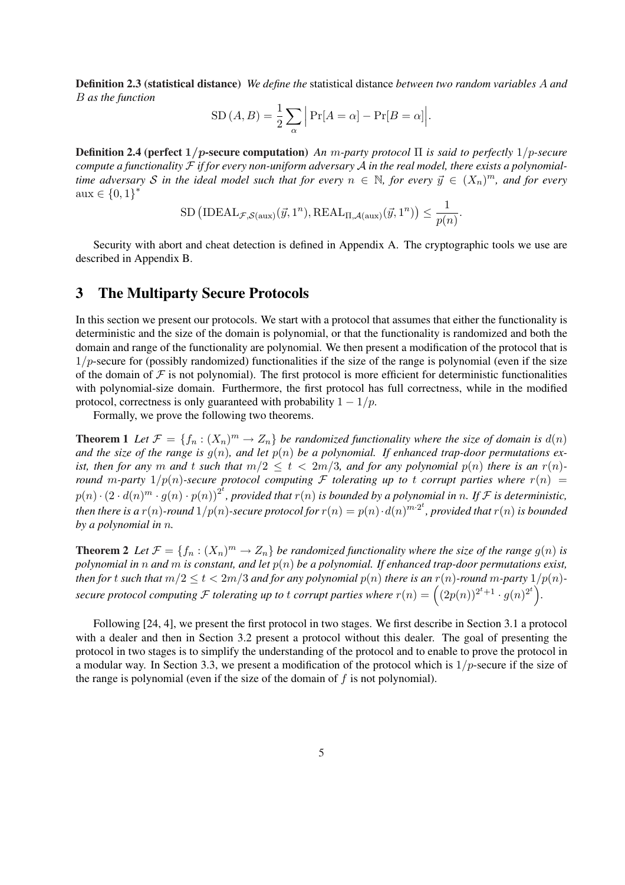Definition 2.3 (statistical distance) *We define the* statistical distance *between two random variables* A *and* B *as the function*  $\overline{a}$  $\overline{a}$ 

$$
SD(A, B) = \frac{1}{2} \sum_{\alpha} \left| Pr[A = \alpha] - Pr[B = \alpha] \right|.
$$

Definition 2.4 (perfect 1/p-secure computation) *An* m*-party protocol* Π *is said to perfectly* 1/p*-secure compute a functionality* F *if for every non-uniform adversary* A *in the real model, there exists a polynomialtime adversary* S in the ideal model such that for every  $n \in \mathbb{N}$ , for every  $\vec{y} \in (X_n)^m$ , and for every  $aux \in \{0,1\}^*$ 

$$
\mathrm{SD}\left(\mathrm{IDEAL}_{\mathcal{F},\mathcal{S}(\mathrm{aux})}(\vec{y},1^n), \mathrm{REAL}_{\Pi,\mathcal{A}(\mathrm{aux})}(\vec{y},1^n)\right) \leq \frac{1}{p(n)}.
$$

Security with abort and cheat detection is defined in Appendix A. The cryptographic tools we use are described in Appendix B.

# 3 The Multiparty Secure Protocols

In this section we present our protocols. We start with a protocol that assumes that either the functionality is deterministic and the size of the domain is polynomial, or that the functionality is randomized and both the domain and range of the functionality are polynomial. We then present a modification of the protocol that is  $1/p$ -secure for (possibly randomized) functionalities if the size of the range is polynomial (even if the size of the domain of  $\mathcal F$  is not polynomial). The first protocol is more efficient for deterministic functionalities with polynomial-size domain. Furthermore, the first protocol has full correctness, while in the modified protocol, correctness is only guaranteed with probability  $1 - 1/p$ .

Formally, we prove the following two theorems.

**Theorem 1** Let  $\mathcal{F} = \{f_n : (X_n)^m \to Z_n\}$  be randomized functionality where the size of domain is  $d(n)$ and the size of the range is  $g(n)$ , and let  $p(n)$  be a polynomial. If enhanced trap-door permutations ex*ist, then for any* m *and* t *such that*  $m/2 \le t < 2m/3$ *, and for any polynomial*  $p(n)$  *there is an*  $r(n)$ *round* m-party  $1/p(n)$ -secure protocol computing F tolerating up to t corrupt parties where  $r(n)$  =  $p(n) \cdot (2 \cdot d(n)^m \cdot g(n) \cdot p(n))^{2^t}$ , provided that  $r(n)$  is bounded by a polynomial in n. If F is deterministic, then there is a  $r(n)$ -round  $1/p(n)$ -secure protocol for  $r(n) = p(n) \cdot d(n)^{m \cdot 2^t}$ , provided that  $r(n)$  is bounded *by a polynomial in* n*.*

**Theorem 2** Let  $\mathcal{F} = \{f_n : (X_n)^m \to Z_n\}$  be randomized functionality where the size of the range  $g(n)$  is *polynomial in* n *and* m *is constant, and let* p(n) *be a polynomial. If enhanced trap-door permutations exist, then for*  $t$  *such that*  $m/2 \leq t < 2m/3$  *and for any polynomial*  $p(n)$  *there is an*  $r(n)$ *-round*  $m$ *-party*  $1/p(n)$ *secure protocol computing*  $\mathcal{F}$  *tolerating up to t corrupt parties where*  $r(n) = \left( (2p(n))^{2^t+1} \cdot g(n)^{2^t} \right)$ .

Following [24, 4], we present the first protocol in two stages. We first describe in Section 3.1 a protocol with a dealer and then in Section 3.2 present a protocol without this dealer. The goal of presenting the protocol in two stages is to simplify the understanding of the protocol and to enable to prove the protocol in a modular way. In Section 3.3, we present a modification of the protocol which is  $1/p$ -secure if the size of the range is polynomial (even if the size of the domain of  $f$  is not polynomial).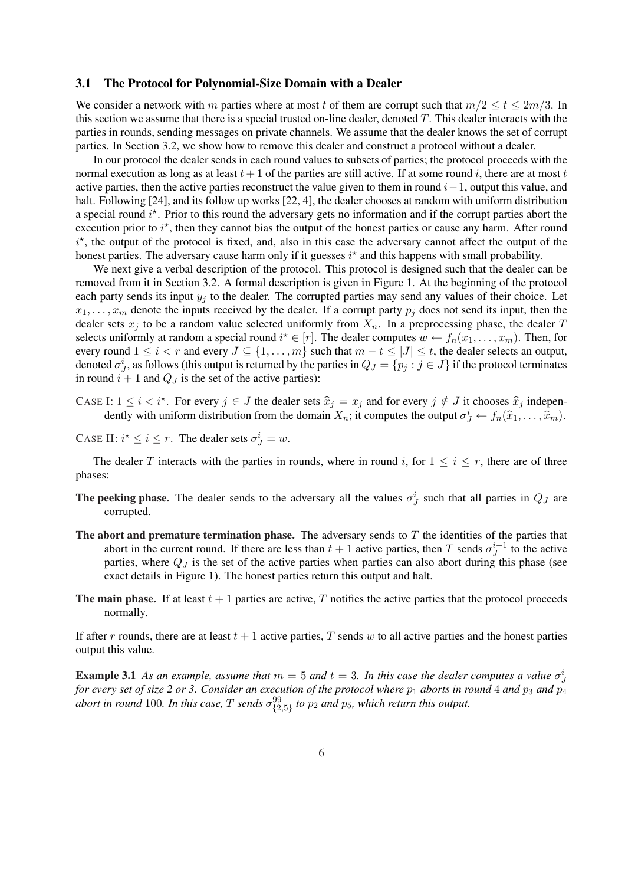### 3.1 The Protocol for Polynomial-Size Domain with a Dealer

We consider a network with m parties where at most t of them are corrupt such that  $m/2 \le t \le 2m/3$ . In this section we assume that there is a special trusted on-line dealer, denoted T. This dealer interacts with the parties in rounds, sending messages on private channels. We assume that the dealer knows the set of corrupt parties. In Section 3.2, we show how to remove this dealer and construct a protocol without a dealer.

In our protocol the dealer sends in each round values to subsets of parties; the protocol proceeds with the normal execution as long as at least  $t + 1$  of the parties are still active. If at some round i, there are at most t active parties, then the active parties reconstruct the value given to them in round  $i-1$ , output this value, and halt. Following [24], and its follow up works [22, 4], the dealer chooses at random with uniform distribution a special round  $i^*$ . Prior to this round the adversary gets no information and if the corrupt parties abort the execution prior to  $i^*$ , then they cannot bias the output of the honest parties or cause any harm. After round  $i^*$ , the output of the protocol is fixed, and, also in this case the adversary cannot affect the output of the honest parties. The adversary cause harm only if it guesses  $i^*$  and this happens with small probability.

We next give a verbal description of the protocol. This protocol is designed such that the dealer can be removed from it in Section 3.2. A formal description is given in Figure 1. At the beginning of the protocol each party sends its input  $y_i$  to the dealer. The corrupted parties may send any values of their choice. Let  $x_1, \ldots, x_m$  denote the inputs received by the dealer. If a corrupt party  $p_i$  does not send its input, then the dealer sets  $x_j$  to be a random value selected uniformly from  $X_n$ . In a preprocessing phase, the dealer T selects uniformly at random a special round  $i^* \in [r]$ . The dealer computes  $w \leftarrow f_n(x_1, \ldots, x_m)$ . Then, for every round  $1 \le i < r$  and every  $J \subseteq \{1, \ldots, m\}$  such that  $m - t \le |J| \le t$ , the dealer selects an output, denoted  $\sigma_j^i$ , as follows (this output is returned by the parties in  $Q_J = \{p_j : j \in J\}$  if the protocol terminates in round  $i + 1$  and  $Q_J$  is the set of the active parties):

- CASE I:  $1 \le i < i^*$ . For every  $j \in J$  the dealer sets  $\hat{x}_j = x_j$  and for every  $j \notin J$  it chooses  $\hat{x}_j$  independently with uniform distribution from the domain  $X_n$ ; it computes the output  $\sigma_j^i \leftarrow f_n(\widehat{x}_1,\ldots,\widehat{x}_m)$ .
- CASE II:  $i^* \le i \le r$ . The dealer sets  $\sigma_j^i = w$ .

The dealer T interacts with the parties in rounds, where in round i, for  $1 \le i \le r$ , there are of three phases:

- The peeking phase. The dealer sends to the adversary all the values  $\sigma_j^i$  such that all parties in  $Q_j$  are corrupted.
- The abort and premature termination phase. The adversary sends to  $T$  the identities of the parties that abort in the current round. If there are less than  $t + 1$  active parties, then T sends  $\sigma_1^{i-1}$  $j^{i-1}$  to the active parties, where  $Q_J$  is the set of the active parties when parties can also abort during this phase (see exact details in Figure 1). The honest parties return this output and halt.
- The main phase. If at least  $t + 1$  parties are active, T notifies the active parties that the protocol proceeds normally.

If after r rounds, there are at least  $t + 1$  active parties, T sends w to all active parties and the honest parties output this value.

**Example 3.1** As an example, assume that  $m = 5$  and  $t = 3$ . In this case the dealer computes a value  $\sigma_j^i$ *for every set of size 2 or 3. Consider an execution of the protocol where*  $p_1$  *aborts in round* 4 *and*  $p_3$  *and*  $p_4$ abort in round 100. In this case,  $T$  sends  $\sigma^{99}_{\{2,5\}}$  to  $p_2$  and  $p_5$ , which return this output.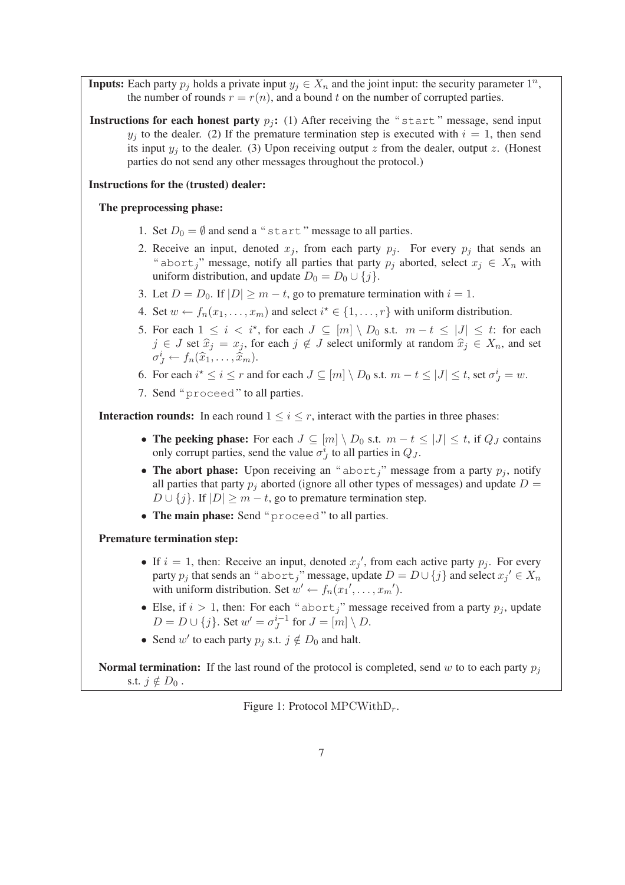**Inputs:** Each party  $p_j$  holds a private input  $y_j \in X_n$  and the joint input: the security parameter  $1^n$ , the number of rounds  $r = r(n)$ , and a bound t on the number of corrupted parties.

Instructions for each honest party  $p_i$ : (1) After receiving the "start" message, send input  $y_i$  to the dealer. (2) If the premature termination step is executed with  $i = 1$ , then send its input  $y_i$  to the dealer. (3) Upon receiving output z from the dealer, output z. (Honest parties do not send any other messages throughout the protocol.)

## Instructions for the (trusted) dealer:

## The preprocessing phase:

- 1. Set  $D_0 = \emptyset$  and send a "start" message to all parties.
- 2. Receive an input, denoted  $x_j$ , from each party  $p_j$ . For every  $p_j$  that sends an " abort<sub>i</sub>" message, notify all parties that party  $p_i$  aborted, select  $x_i \in X_n$  with uniform distribution, and update  $D_0 = D_0 \cup \{j\}$ .
- 3. Let  $D = D_0$ . If  $|D| \ge m t$ , go to premature termination with  $i = 1$ .
- 4. Set  $w \leftarrow f_n(x_1, \ldots, x_m)$  and select  $i^* \in \{1, \ldots, r\}$  with uniform distribution.
- 5. For each  $1 \leq i \leq i^*$ , for each  $J \subseteq [m] \setminus D_0$  s.t.  $m-t \leq |J| \leq t$ : for each  $j \in J$  set  $\hat{x}_j = x_j$ , for each  $j \notin J$  select uniformly at random  $\hat{x}_j \in X_n$ , and set  $\sigma_J^i \leftarrow f_n(\hat{x}_1,\ldots,\hat{x}_m).$
- 6. For each  $i^* \le i \le r$  and for each  $J \subseteq [m] \setminus D_0$  s.t.  $m t \le |J| \le t$ , set  $\sigma_J^i = w$ .
- 7. Send " proceed " to all parties.

**Interaction rounds:** In each round  $1 \leq i \leq r$ , interact with the parties in three phases:

- The peeking phase: For each  $J \subseteq [m] \setminus D_0$  s.t.  $m t \leq |J| \leq t$ , if  $Q_J$  contains only corrupt parties, send the value  $\sigma_J^i$  to all parties in  $Q_J$ .
- The abort phase: Upon receiving an "abort," message from a party  $p_j$ , notify all parties that party  $p_i$  aborted (ignore all other types of messages) and update  $D =$  $D \cup \{j\}$ . If  $|D| \geq m - t$ , go to premature termination step.
- The main phase: Send "proceed" to all parties.

### Premature termination step:

- If  $i = 1$ , then: Receive an input, denoted  $x_j'$ , from each active party  $p_j$ . For every party  $p_j$  that sends an " abort<sub>j</sub>" message, update  $D = D \cup \{j\}$  and select  $x_j' \in X_n$ with uniform distribution. Set  $w' \leftarrow f_n(x_1', \ldots, x_m')$ .
- Else, if  $i > 1$ , then: For each " abort," message received from a party  $p_i$ , update  $D = D \cup \{j\}$ . Set  $w' = \sigma_I^{i-1}$  $J^{i-1}$  for  $J = [m] \setminus D$ .
- Send  $w'$  to each party  $p_j$  s.t.  $j \notin D_0$  and halt.

**Normal termination:** If the last round of the protocol is completed, send w to to each party  $p_i$ s.t.  $j \notin D_0$ .

Figure 1: Protocol  $\text{MPCWithD}_r$ .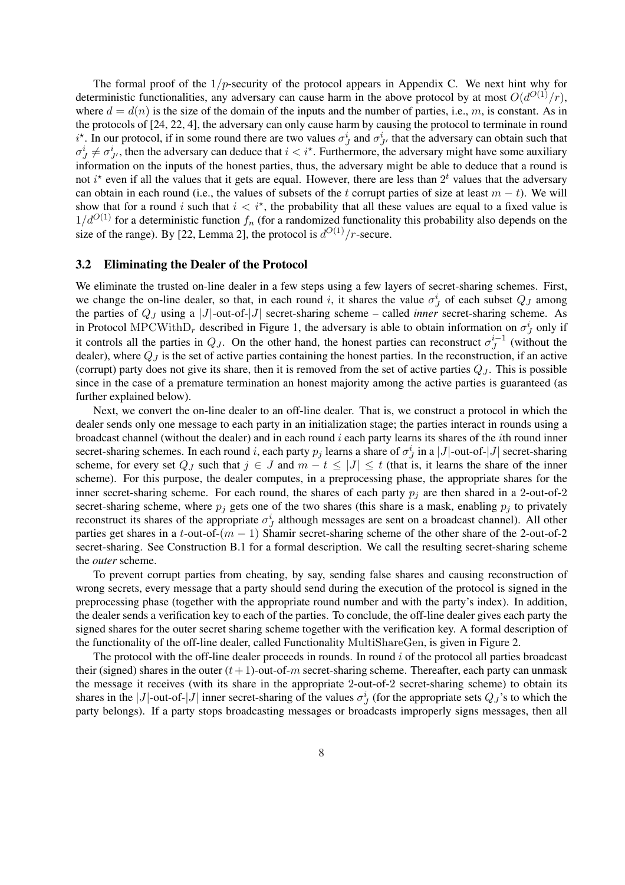The formal proof of the  $1/p$ -security of the protocol appears in Appendix C. We next hint why for deterministic functionalities, any adversary can cause harm in the above protocol by at most  $O(d^{O(1)}/r)$ , where  $d = d(n)$  is the size of the domain of the inputs and the number of parties, i.e., m, is constant. As in the protocols of [24, 22, 4], the adversary can only cause harm by causing the protocol to terminate in round  $i^*$ . In our protocol, if in some round there are two values  $\sigma_j^i$  and  $\sigma_{J'}^i$  that the adversary can obtain such that  $\sigma^i_j \neq \sigma^i_{J'}$ , then the adversary can deduce that  $i < i^*$ . Furthermore, the adversary might have some auxiliary information on the inputs of the honest parties, thus, the adversary might be able to deduce that a round is not  $i^*$  even if all the values that it gets are equal. However, there are less than  $2^t$  values that the adversary can obtain in each round (i.e., the values of subsets of the t corrupt parties of size at least  $m - t$ ). We will show that for a round i such that  $i < i^*$ , the probability that all these values are equal to a fixed value is  $1/d^{O(1)}$  for a deterministic function  $f_n$  (for a randomized functionality this probability also depends on the size of the range). By [22, Lemma 2], the protocol is  $d^{O(1)}/r$ -secure.

### 3.2 Eliminating the Dealer of the Protocol

We eliminate the trusted on-line dealer in a few steps using a few layers of secret-sharing schemes. First, we change the on-line dealer, so that, in each round i, it shares the value  $\sigma_j^i$  of each subset  $Q_j$  among the parties of Q<sup>J</sup> using a |J|-out-of-|J| secret-sharing scheme – called *inner* secret-sharing scheme. As in Protocol MPCWith $D_r$  described in Figure 1, the adversary is able to obtain information on  $\sigma_j^i$  only if it controls all the parties in  $Q_J$ . On the other hand, the honest parties can reconstruct  $\sigma_J^{i-1}$  $j^{i-1}$  (without the dealer), where  $Q_J$  is the set of active parties containing the honest parties. In the reconstruction, if an active (corrupt) party does not give its share, then it is removed from the set of active parties  $Q_J$ . This is possible since in the case of a premature termination an honest majority among the active parties is guaranteed (as further explained below).

Next, we convert the on-line dealer to an off-line dealer. That is, we construct a protocol in which the dealer sends only one message to each party in an initialization stage; the parties interact in rounds using a broadcast channel (without the dealer) and in each round  $i$  each party learns its shares of the *i*th round inner secret-sharing schemes. In each round i, each party  $p_j$  learns a share of  $\sigma_j^i$  in a |J|-out-of-|J| secret-sharing scheme, for every set  $Q_J$  such that  $j \in J$  and  $m - t \leq |J| \leq t$  (that is, it learns the share of the inner scheme). For this purpose, the dealer computes, in a preprocessing phase, the appropriate shares for the inner secret-sharing scheme. For each round, the shares of each party  $p_i$  are then shared in a 2-out-of-2 secret-sharing scheme, where  $p_i$  gets one of the two shares (this share is a mask, enabling  $p_i$  to privately reconstruct its shares of the appropriate  $\sigma_j^i$  although messages are sent on a broadcast channel). All other parties get shares in a t-out-of- $(m - 1)$  Shamir secret-sharing scheme of the other share of the 2-out-of-2 secret-sharing. See Construction B.1 for a formal description. We call the resulting secret-sharing scheme the *outer* scheme.

To prevent corrupt parties from cheating, by say, sending false shares and causing reconstruction of wrong secrets, every message that a party should send during the execution of the protocol is signed in the preprocessing phase (together with the appropriate round number and with the party's index). In addition, the dealer sends a verification key to each of the parties. To conclude, the off-line dealer gives each party the signed shares for the outer secret sharing scheme together with the verification key. A formal description of the functionality of the off-line dealer, called Functionality MultiShareGen, is given in Figure 2.

The protocol with the off-line dealer proceeds in rounds. In round  $i$  of the protocol all parties broadcast their (signed) shares in the outer  $(t+1)$ -out-of-m secret-sharing scheme. Thereafter, each party can unmask the message it receives (with its share in the appropriate 2-out-of-2 secret-sharing scheme) to obtain its shares in the |J|-out-of-|J| inner secret-sharing of the values  $\sigma_j^i$  (for the appropriate sets  $Q_j$ 's to which the party belongs). If a party stops broadcasting messages or broadcasts improperly signs messages, then all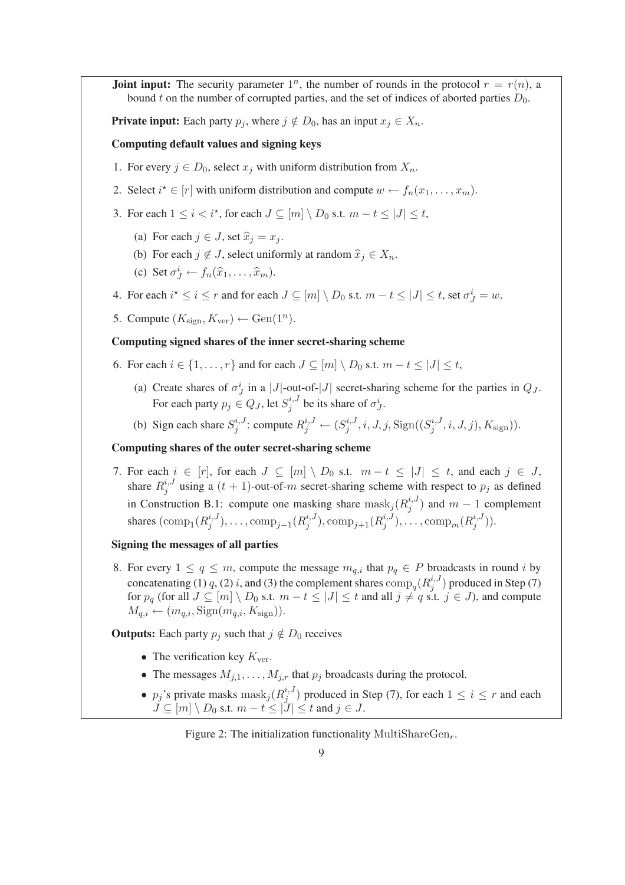**Joint input:** The security parameter  $1^n$ , the number of rounds in the protocol  $r = r(n)$ , a bound t on the number of corrupted parties, and the set of indices of aborted parties  $D_0$ .

**Private input:** Each party  $p_i$ , where  $j \notin D_0$ , has an input  $x_i \in X_n$ .

## Computing default values and signing keys

- 1. For every  $j \in D_0$ , select  $x_j$  with uniform distribution from  $X_n$ .
- 2. Select  $i^* \in [r]$  with uniform distribution and compute  $w \leftarrow f_n(x_1, \ldots, x_m)$ .
- 3. For each  $1 \leq i < i^*$ , for each  $J \subseteq [m] \setminus D_0$  s.t.  $m t \leq |J| \leq t$ ,
	- (a) For each  $j \in J$ , set  $\hat{x}_i = x_i$ .
	- (b) For each  $j \notin J$ , select uniformly at random  $\hat{x}_j \in X_n$ .
	- (c) Set  $\sigma_j^i \leftarrow f_n(\widehat{x}_1, \ldots, \widehat{x}_m)$ .
- 4. For each  $i^* \le i \le r$  and for each  $J \subseteq [m] \setminus D_0$  s.t.  $m t \le |J| \le t$ , set  $\sigma_J^i = w$ .
- 5. Compute  $(K_{\text{sign}}, K_{\text{ver}}) \leftarrow \text{Gen}(1^n)$ .

## Computing signed shares of the inner secret-sharing scheme

- 6. For each  $i \in \{1, \ldots, r\}$  and for each  $J \subseteq [m] \setminus D_0$  s.t.  $m t \leq |J| \leq t$ ,
	- (a) Create shares of  $\sigma_j^i$  in a |J|-out-of-|J| secret-sharing scheme for the parties in  $Q_j$ . For each party  $p_j \in Q_J,$  let  $S_j^{i,J}$  $j^{i,J}$  be its share of  $\sigma_j^i$ .
	- (b) Sign each share  $S_i^{i,J}$  $j^{i,J}$ : compute  $R_j^{i,J} \leftarrow (S_j^{i,J}$  $j^{i,J}, i, J, j, \mathrm{Sign}((S_j^{i,J}))$  $j^{i,J}, i, J, j), K_{\text{sign}})).$

### Computing shares of the outer secret-sharing scheme

7. For each  $i \in [r]$ , for each  $J \subseteq [m] \setminus D_0$  s.t.  $m - t \leq |J| \leq t$ , and each  $j \in J$ , share  $R_i^{i,J}$ <sup>2, J</sup> using a  $(t + 1)$ -out-of-m secret-sharing scheme with respect to  $p_j$  as defined in Construction B.1: compute one masking share  $\text{mask}_j(R_i^{i,j})$  $j^{i,J}$ ) and  $m-1$  complement shares  $(\text{comp}_1(R_j^{i,J}))$  $j^{i,J}_j$ ), ..., com $p_{j-1}(R_j^{i,J})$  $j^{i,J}), \text{comp}_{j+1}(R_j^{i,J})$  $j^{i,J}), \ldots, \text{comp}_m(R_j^{i,J})$  $j^{i,J}$ )).

## Signing the messages of all parties

8. For every  $1 \le q \le m$ , compute the message  $m_{q,i}$  that  $p_q \in P$  broadcasts in round i by concatenating (1) q, (2) i, and (3) the complement shares  $\text{comp}_q(R_j^{i,J})$  $j^{i,J}$ ) produced in Step (7) for  $p_q$  (for all  $J \subseteq [m] \setminus D_0$  s.t.  $m - t \leq |J| \leq t$  and all  $j \neq q$  s.t.  $j \in J$ ), and compute  $M_{q,i} \leftarrow (m_{q,i}, \text{Sign}(m_{q,i}, K_{\text{sign}})).$ 

**Outputs:** Each party  $p_j$  such that  $j \notin D_0$  receives

- The verification key  $K_{\text{ver}}$ .
- The messages  $M_{i,1}, \ldots, M_{j,r}$  that  $p_j$  broadcasts during the protocol.
- $p_j$ 's private masks  $\text{mask}_j(R_j^{i,J})$  $j^{i,j}$ ) produced in Step (7), for each  $1 \leq i \leq r$  and each  $\overline{J} \subseteq [m] \setminus D_0$  s.t.  $m - t \leq |J| \leq t$  and  $j \in J$ .

Figure 2: The initialization functionality MultiShareGen<sub>r</sub>.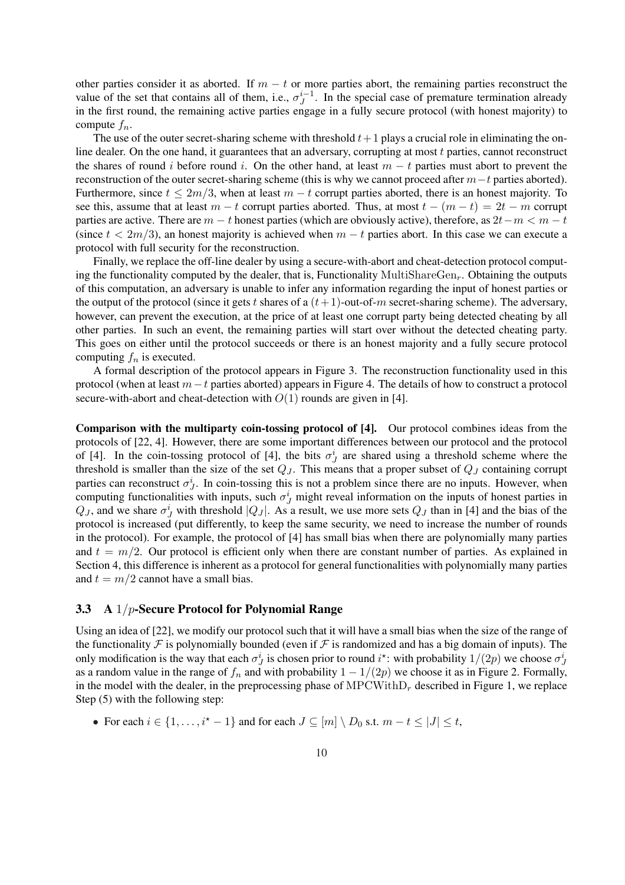other parties consider it as aborted. If  $m - t$  or more parties abort, the remaining parties reconstruct the value of the set that contains all of them, i.e.,  $\sigma_i^{i-1}$  $J<sup>i-1</sup>$ . In the special case of premature termination already in the first round, the remaining active parties engage in a fully secure protocol (with honest majority) to compute  $f_n$ .

The use of the outer secret-sharing scheme with threshold  $t+1$  plays a crucial role in eliminating the online dealer. On the one hand, it guarantees that an adversary, corrupting at most  $t$  parties, cannot reconstruct the shares of round i before round i. On the other hand, at least  $m - t$  parties must abort to prevent the reconstruction of the outer secret-sharing scheme (this is why we cannot proceed after  $m-t$  parties aborted). Furthermore, since  $t \leq 2m/3$ , when at least  $m - t$  corrupt parties aborted, there is an honest majority. To see this, assume that at least  $m - t$  corrupt parties aborted. Thus, at most  $t - (m - t) = 2t - m$  corrupt parties are active. There are  $m - t$  honest parties (which are obviously active), therefore, as  $2t - m < m - t$ (since  $t < 2m/3$ ), an honest majority is achieved when  $m - t$  parties abort. In this case we can execute a protocol with full security for the reconstruction.

Finally, we replace the off-line dealer by using a secure-with-abort and cheat-detection protocol computing the functionality computed by the dealer, that is, Functionality MultiShareGen<sub>r</sub>. Obtaining the outputs of this computation, an adversary is unable to infer any information regarding the input of honest parties or the output of the protocol (since it gets t shares of a  $(t+1)$ -out-of-m secret-sharing scheme). The adversary, however, can prevent the execution, at the price of at least one corrupt party being detected cheating by all other parties. In such an event, the remaining parties will start over without the detected cheating party. This goes on either until the protocol succeeds or there is an honest majority and a fully secure protocol computing  $f_n$  is executed.

A formal description of the protocol appears in Figure 3. The reconstruction functionality used in this protocol (when at least  $m-t$  parties aborted) appears in Figure 4. The details of how to construct a protocol secure-with-abort and cheat-detection with  $O(1)$  rounds are given in [4].

Comparison with the multiparty coin-tossing protocol of [4]. Our protocol combines ideas from the protocols of [22, 4]. However, there are some important differences between our protocol and the protocol of [4]. In the coin-tossing protocol of [4], the bits  $\sigma_j^i$  are shared using a threshold scheme where the threshold is smaller than the size of the set  $Q_J$ . This means that a proper subset of  $Q_J$  containing corrupt parties can reconstruct  $\sigma_j^i$ . In coin-tossing this is not a problem since there are no inputs. However, when computing functionalities with inputs, such  $\sigma_J^i$  might reveal information on the inputs of honest parties in  $Q_J$ , and we share  $\sigma_J^i$  with threshold  $|Q_J|$ . As a result, we use more sets  $Q_J$  than in [4] and the bias of the protocol is increased (put differently, to keep the same security, we need to increase the number of rounds in the protocol). For example, the protocol of [4] has small bias when there are polynomially many parties and  $t = m/2$ . Our protocol is efficient only when there are constant number of parties. As explained in Section 4, this difference is inherent as a protocol for general functionalities with polynomially many parties and  $t = m/2$  cannot have a small bias.

## 3.3 A  $1/p$ -Secure Protocol for Polynomial Range

Using an idea of [22], we modify our protocol such that it will have a small bias when the size of the range of the functionality  $\mathcal F$  is polynomially bounded (even if  $\mathcal F$  is randomized and has a big domain of inputs). The only modification is the way that each  $\sigma_j^i$  is chosen prior to round  $i^*$ : with probability  $1/(2p)$  we choose  $\sigma_j^i$ as a random value in the range of  $f_n$  and with probability  $1 - 1/(2p)$  we choose it as in Figure 2. Formally, in the model with the dealer, in the preprocessing phase of  $\text{MPCWithD}_r$  described in Figure 1, we replace Step (5) with the following step:

• For each  $i \in \{1, \ldots, i^* - 1\}$  and for each  $J \subseteq [m] \setminus D_0$  s.t.  $m - t \le |J| \le t$ ,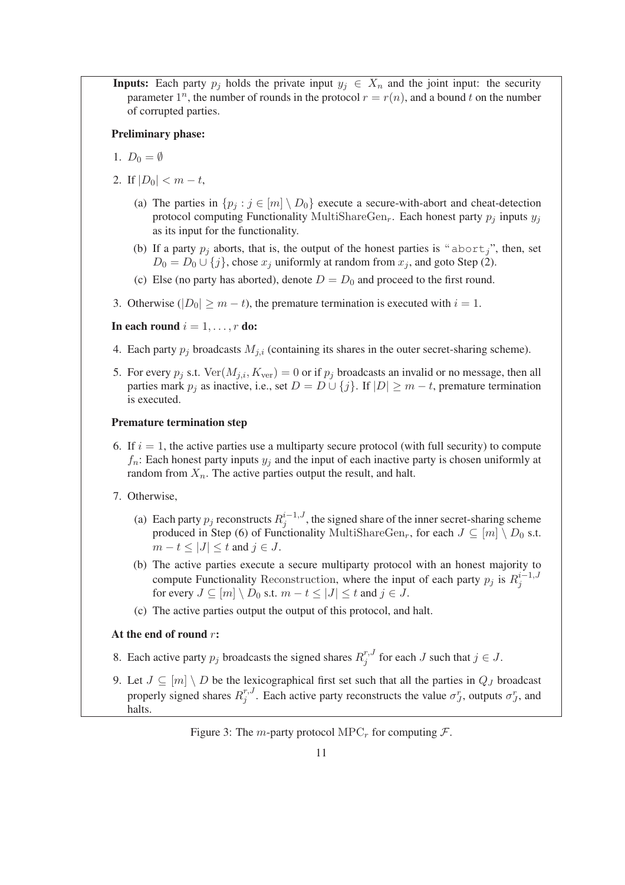**Inputs:** Each party  $p_j$  holds the private input  $y_j \in X_n$  and the joint input: the security parameter 1<sup>n</sup>, the number of rounds in the protocol  $r = r(n)$ , and a bound t on the number of corrupted parties.

## Preliminary phase:

- 1.  $D_0 = \emptyset$
- 2. If  $|D_0| < m t$ ,
	- (a) The parties in  $\{p_j : j \in [m] \setminus D_0\}$  execute a secure-with-abort and cheat-detection protocol computing Functionality MultiShareGen<sub>r</sub>. Each honest party  $p_i$  inputs  $y_i$ as its input for the functionality.
	- (b) If a party  $p_j$  aborts, that is, the output of the honest parties is "abort,", then, set  $D_0 = D_0 \cup \{j\}$ , chose  $x_j$  uniformly at random from  $x_j$ , and goto Step (2).
	- (c) Else (no party has aborted), denote  $D = D_0$  and proceed to the first round.
- 3. Otherwise ( $|D_0| \ge m t$ ), the premature termination is executed with  $i = 1$ .

In each round  $i = 1, \ldots, r$  do:

- 4. Each party  $p_j$  broadcasts  $M_{j,i}$  (containing its shares in the outer secret-sharing scheme).
- 5. For every  $p_j$  s.t.  $\text{Ver}(M_{j,i}, K_{\text{ver}}) = 0$  or if  $p_j$  broadcasts an invalid or no message, then all parties mark  $p_i$  as inactive, i.e., set  $D = D \cup \{j\}$ . If  $|D| \geq m - t$ , premature termination is executed.

## Premature termination step

- 6. If  $i = 1$ , the active parties use a multiparty secure protocol (with full security) to compute  $f_n$ : Each honest party inputs  $y_i$  and the input of each inactive party is chosen uniformly at random from  $X_n$ . The active parties output the result, and halt.
- 7. Otherwise,
	- (a) Each party  $p_j$  reconstructs  $R_j^{i-1,J}$  $j_j^{i-1, J}$ , the signed share of the inner secret-sharing scheme produced in Step (6) of Functionality MultiShareGen<sub>r</sub>, for each  $J \subseteq [m] \setminus D_0$  s.t.  $m-t \leq |J| \leq t$  and  $j \in J$ .
	- (b) The active parties execute a secure multiparty protocol with an honest majority to compute Functionality Reconstruction, where the input of each party  $p_j$  is  $R_j^{i-1,J}$ j for every  $J \subseteq [m] \setminus D_0$  s.t.  $m - t \le |J| \le t$  and  $j \in J$ .
	- (c) The active parties output the output of this protocol, and halt.

### At the end of round  $r$ :

- 8. Each active party  $p_j$  broadcasts the signed shares  $R_j^{r,J}$  $j_j^{r,J}$  for each J such that  $j \in J$ .
- 9. Let  $J \subseteq [m] \setminus D$  be the lexicographical first set such that all the parties in  $Q_J$  broadcast properly signed shares  $R_i^{r,J}$  $j^{r,J}$ . Each active party reconstructs the value  $\sigma_j^r$ , outputs  $\sigma_j^r$ , and halts.

Figure 3: The *m*-party protocol MPC<sub>r</sub> for computing  $\mathcal{F}$ .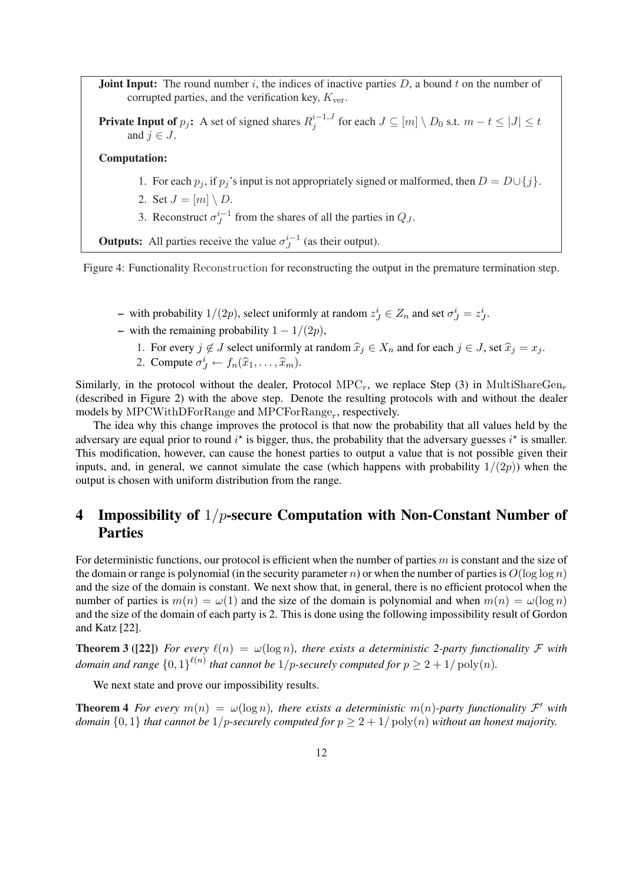**Joint Input:** The round number  $i$ , the indices of inactive parties  $D$ , a bound  $t$  on the number of corrupted parties, and the verification key,  $K_{\text{ver}}$ .

**Private Input of**  $p_j$ : A set of signed shares  $R_j^{i-1,J}$  $j_j^{i-1, J}$  for each  $J \subseteq [m] \setminus D_0$  s.t.  $m-t \leq |J| \leq t$ and  $j \in J$ .

### Computation:

- 1. For each  $p_j$ , if  $p_j$ 's input is not appropriately signed or malformed, then  $D = D \cup \{j\}$ .
- 2. Set  $J = [m] \setminus D$ .
- 3. Reconstruct  $\sigma_I^{i-1}$  $\int_{J}^{i-1}$  from the shares of all the parties in  $Q_J$ .

**Outputs:** All parties receive the value  $\sigma_I^{i-1}$  $j^{\iota-1}$  (as their output).

Figure 4: Functionality Reconstruction for reconstructing the output in the premature termination step.

- with probability  $1/(2p)$ , select uniformly at random  $z_j^i \in Z_n$  and set  $\sigma_j^i = z_j^i$ .
- with the remaining probability  $1 1/(2p)$ ,
	- 1. For every  $j \notin J$  select uniformly at random  $\hat{x}_j \in X_n$  and for each  $j \in J$ , set  $\hat{x}_j = x_j$ .
	- 2. Compute  $\sigma_j^i \leftarrow f_n(\widehat{x}_1, \ldots, \widehat{x}_m)$ .

Similarly, in the protocol without the dealer, Protocol MPC<sub>r</sub>, we replace Step (3) in MultiShareGen<sub>r</sub> (described in Figure 2) with the above step. Denote the resulting protocols with and without the dealer models by MPCWithDForRange and MPCForRange<sub>r</sub>, respectively.

The idea why this change improves the protocol is that now the probability that all values held by the adversary are equal prior to round  $i^*$  is bigger, thus, the probability that the adversary guesses  $i^*$  is smaller. This modification, however, can cause the honest parties to output a value that is not possible given their inputs, and, in general, we cannot simulate the case (which happens with probability  $1/(2p)$ ) when the output is chosen with uniform distribution from the range.

# 4 Impossibility of  $1/p$ -secure Computation with Non-Constant Number of Parties

For deterministic functions, our protocol is efficient when the number of parties  $m$  is constant and the size of the domain or range is polynomial (in the security parameter n) or when the number of parties is  $O(\log \log n)$ and the size of the domain is constant. We next show that, in general, there is no efficient protocol when the number of parties is  $m(n) = \omega(1)$  and the size of the domain is polynomial and when  $m(n) = \omega(\log n)$ and the size of the domain of each party is 2. This is done using the following impossibility result of Gordon and Katz [22].

**Theorem 3** ([22]) *For every*  $\ell(n) = \omega(\log n)$ *, there exists a deterministic 2-party functionality F with* domain and range  $\{0,1\}^{\ell(n)}$  that cannot be  $1/p$ -securely computed for  $p \geq 2 + 1/\operatorname{poly}(n)$ .

We next state and prove our impossibility results.

**Theorem 4** For every  $m(n) = \omega(\log n)$ , there exists a deterministic  $m(n)$ -party functionality  $\mathcal{F}'$  with *domain*  $\{0, 1\}$  *that cannot be*  $1/p$ *-securely computed for*  $p \ge 2 + 1/poly(n)$  *without an honest majority.*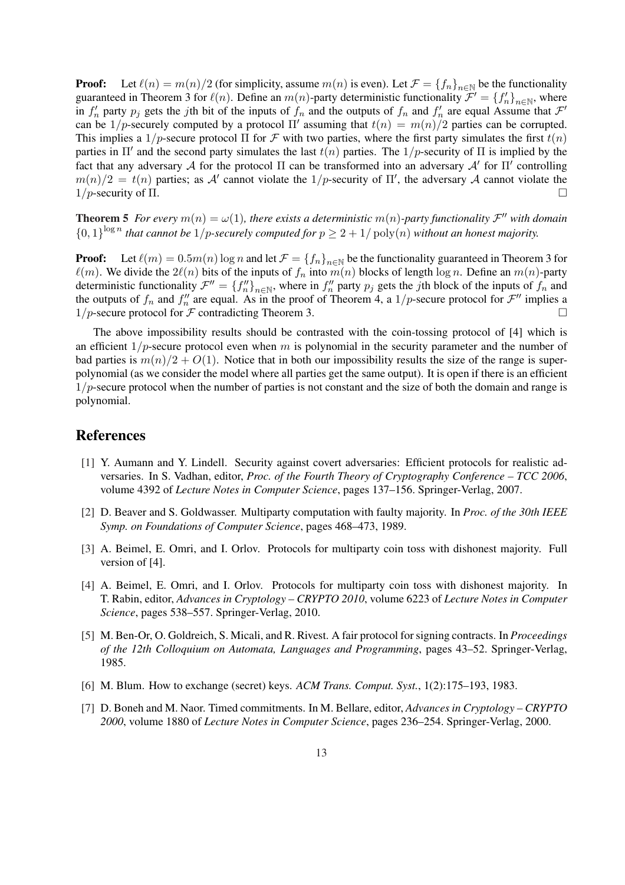**Proof:** Let  $\ell(n) = m(n)/2$  (for simplicity, assume  $m(n)$  is even). Let  $\mathcal{F} = \{f_n\}_{n \in \mathbb{N}}$  be the functionality guaranteed in Theorem 3 for  $\ell(n)$ . Define an  $m(n)$ -party deterministic functionality  $\mathcal{F}' = \{f'_n\}_{n\in\mathbb{N}}$ , where in  $f'_n$  party  $p_j$  gets the jth bit of the inputs of  $f_n$  and the outputs of  $f_n$  and  $f'_n$  are equal Assume that  $\mathcal{F}'$ can be 1/p-securely computed by a protocol  $\Pi'$  assuming that  $t(n) = m(n)/2$  parties can be corrupted. This implies a  $1/p$ -secure protocol  $\Pi$  for F with two parties, where the first party simulates the first  $t(n)$ parties in  $\Pi'$  and the second party simulates the last  $t(n)$  parties. The 1/p-security of  $\Pi$  is implied by the fact that any adversary A for the protocol  $\Pi$  can be transformed into an adversary  $\mathcal{A}'$  for  $\Pi'$  controlling  $m(n)/2 = t(n)$  parties; as A' cannot violate the 1/p-security of  $\Pi'$ , the adversary A cannot violate the  $1/p$ -security of  $\Pi$ .

**Theorem 5** For every  $m(n) = \omega(1)$ , there exists a deterministic  $m(n)$ -party functionality  $\mathcal{F}''$  with domain  ${0,1}^{\log n}$  that cannot be 1/p-securely computed for  $p \geq 2 + 1/\text{poly}(n)$  without an honest majority.

**Proof:** Let  $\ell(m) = 0.5m(n) \log n$  and let  $\mathcal{F} = \{f_n\}_{n \in \mathbb{N}}$  be the functionality guaranteed in Theorem 3 for  $\ell(m)$ . We divide the  $2\ell(n)$  bits of the inputs of  $f_n$  into  $m(n)$  blocks of length log n. Define an  $m(n)$ -party deterministic functionality  $\mathcal{F}'' = \{f''_n\}_{n \in \mathbb{N}}$ , where in  $f''_n$  party  $p_j$  gets the jth block of the inputs of  $f_n$  and the outputs of  $f_n$  and  $f''_n$  are equal. As in the proof of Theorem 4, a  $1/p$ -secure protocol for  $\mathcal{F}''$  implies a  $1/p$ -secure protocol for F contradicting Theorem 3.

The above impossibility results should be contrasted with the coin-tossing protocol of [4] which is an efficient  $1/p$ -secure protocol even when m is polynomial in the security parameter and the number of bad parties is  $m(n)/2 + O(1)$ . Notice that in both our impossibility results the size of the range is superpolynomial (as we consider the model where all parties get the same output). It is open if there is an efficient  $1/p$ -secure protocol when the number of parties is not constant and the size of both the domain and range is polynomial.

# References

- [1] Y. Aumann and Y. Lindell. Security against covert adversaries: Efficient protocols for realistic adversaries. In S. Vadhan, editor, *Proc. of the Fourth Theory of Cryptography Conference – TCC 2006*, volume 4392 of *Lecture Notes in Computer Science*, pages 137–156. Springer-Verlag, 2007.
- [2] D. Beaver and S. Goldwasser. Multiparty computation with faulty majority. In *Proc. of the 30th IEEE Symp. on Foundations of Computer Science*, pages 468–473, 1989.
- [3] A. Beimel, E. Omri, and I. Orlov. Protocols for multiparty coin toss with dishonest majority. Full version of [4].
- [4] A. Beimel, E. Omri, and I. Orlov. Protocols for multiparty coin toss with dishonest majority. In T. Rabin, editor, *Advances in Cryptology – CRYPTO 2010*, volume 6223 of *Lecture Notes in Computer Science*, pages 538–557. Springer-Verlag, 2010.
- [5] M. Ben-Or, O. Goldreich, S. Micali, and R. Rivest. A fair protocol for signing contracts. In *Proceedings of the 12th Colloquium on Automata, Languages and Programming*, pages 43–52. Springer-Verlag, 1985.
- [6] M. Blum. How to exchange (secret) keys. *ACM Trans. Comput. Syst.*, 1(2):175–193, 1983.
- [7] D. Boneh and M. Naor. Timed commitments. In M. Bellare, editor, *Advances in Cryptology CRYPTO 2000*, volume 1880 of *Lecture Notes in Computer Science*, pages 236–254. Springer-Verlag, 2000.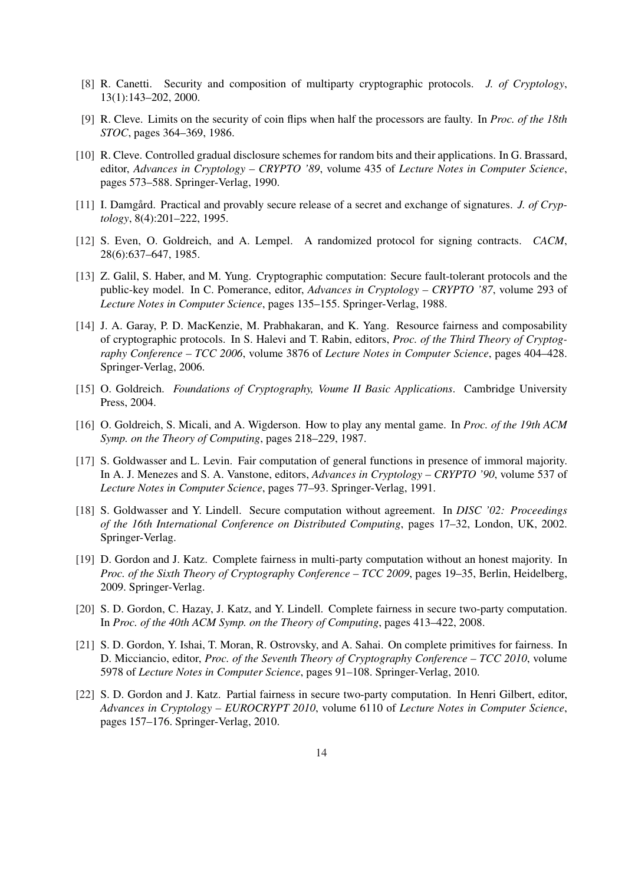- [8] R. Canetti. Security and composition of multiparty cryptographic protocols. *J. of Cryptology*, 13(1):143–202, 2000.
- [9] R. Cleve. Limits on the security of coin flips when half the processors are faulty. In *Proc. of the 18th STOC*, pages 364–369, 1986.
- [10] R. Cleve. Controlled gradual disclosure schemes for random bits and their applications. In G. Brassard, editor, *Advances in Cryptology – CRYPTO '89*, volume 435 of *Lecture Notes in Computer Science*, pages 573–588. Springer-Verlag, 1990.
- [11] I. Damgård. Practical and provably secure release of a secret and exchange of signatures. *J. of Cryptology*, 8(4):201–222, 1995.
- [12] S. Even, O. Goldreich, and A. Lempel. A randomized protocol for signing contracts. *CACM*, 28(6):637–647, 1985.
- [13] Z. Galil, S. Haber, and M. Yung. Cryptographic computation: Secure fault-tolerant protocols and the public-key model. In C. Pomerance, editor, *Advances in Cryptology – CRYPTO '87*, volume 293 of *Lecture Notes in Computer Science*, pages 135–155. Springer-Verlag, 1988.
- [14] J. A. Garay, P. D. MacKenzie, M. Prabhakaran, and K. Yang. Resource fairness and composability of cryptographic protocols. In S. Halevi and T. Rabin, editors, *Proc. of the Third Theory of Cryptography Conference – TCC 2006*, volume 3876 of *Lecture Notes in Computer Science*, pages 404–428. Springer-Verlag, 2006.
- [15] O. Goldreich. *Foundations of Cryptography, Voume II Basic Applications*. Cambridge University Press, 2004.
- [16] O. Goldreich, S. Micali, and A. Wigderson. How to play any mental game. In *Proc. of the 19th ACM Symp. on the Theory of Computing*, pages 218–229, 1987.
- [17] S. Goldwasser and L. Levin. Fair computation of general functions in presence of immoral majority. In A. J. Menezes and S. A. Vanstone, editors, *Advances in Cryptology – CRYPTO '90*, volume 537 of *Lecture Notes in Computer Science*, pages 77–93. Springer-Verlag, 1991.
- [18] S. Goldwasser and Y. Lindell. Secure computation without agreement. In *DISC '02: Proceedings of the 16th International Conference on Distributed Computing*, pages 17–32, London, UK, 2002. Springer-Verlag.
- [19] D. Gordon and J. Katz. Complete fairness in multi-party computation without an honest majority. In *Proc. of the Sixth Theory of Cryptography Conference – TCC 2009*, pages 19–35, Berlin, Heidelberg, 2009. Springer-Verlag.
- [20] S. D. Gordon, C. Hazay, J. Katz, and Y. Lindell. Complete fairness in secure two-party computation. In *Proc. of the 40th ACM Symp. on the Theory of Computing*, pages 413–422, 2008.
- [21] S. D. Gordon, Y. Ishai, T. Moran, R. Ostrovsky, and A. Sahai. On complete primitives for fairness. In D. Micciancio, editor, *Proc. of the Seventh Theory of Cryptography Conference – TCC 2010*, volume 5978 of *Lecture Notes in Computer Science*, pages 91–108. Springer-Verlag, 2010.
- [22] S. D. Gordon and J. Katz. Partial fairness in secure two-party computation. In Henri Gilbert, editor, *Advances in Cryptology – EUROCRYPT 2010*, volume 6110 of *Lecture Notes in Computer Science*, pages 157–176. Springer-Verlag, 2010.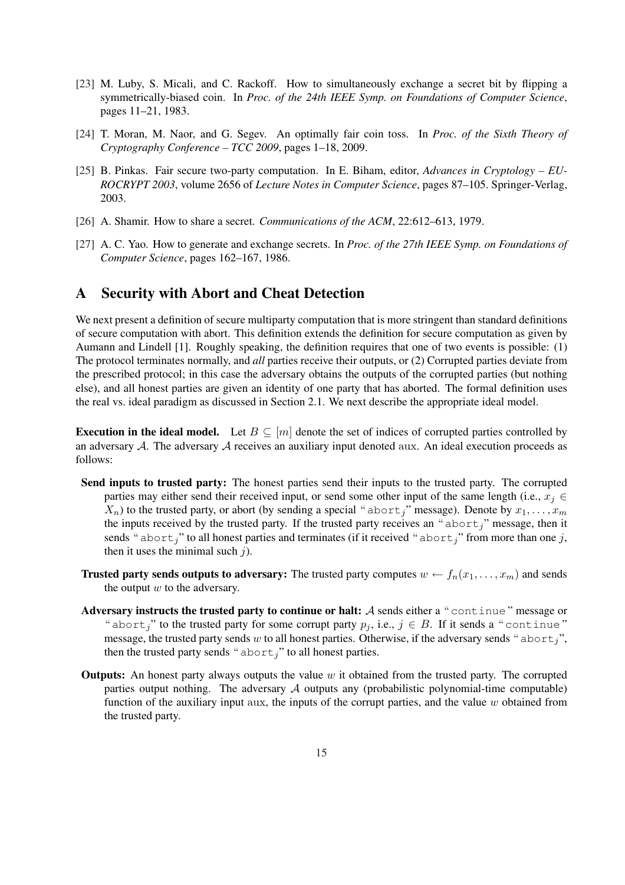- [23] M. Luby, S. Micali, and C. Rackoff. How to simultaneously exchange a secret bit by flipping a symmetrically-biased coin. In *Proc. of the 24th IEEE Symp. on Foundations of Computer Science*, pages 11–21, 1983.
- [24] T. Moran, M. Naor, and G. Segev. An optimally fair coin toss. In *Proc. of the Sixth Theory of Cryptography Conference – TCC 2009*, pages 1–18, 2009.
- [25] B. Pinkas. Fair secure two-party computation. In E. Biham, editor, *Advances in Cryptology EU-ROCRYPT 2003*, volume 2656 of *Lecture Notes in Computer Science*, pages 87–105. Springer-Verlag, 2003.
- [26] A. Shamir. How to share a secret. *Communications of the ACM*, 22:612–613, 1979.
- [27] A. C. Yao. How to generate and exchange secrets. In *Proc. of the 27th IEEE Symp. on Foundations of Computer Science*, pages 162–167, 1986.

# A Security with Abort and Cheat Detection

We next present a definition of secure multiparty computation that is more stringent than standard definitions of secure computation with abort. This definition extends the definition for secure computation as given by Aumann and Lindell [1]. Roughly speaking, the definition requires that one of two events is possible: (1) The protocol terminates normally, and *all* parties receive their outputs, or (2) Corrupted parties deviate from the prescribed protocol; in this case the adversary obtains the outputs of the corrupted parties (but nothing else), and all honest parties are given an identity of one party that has aborted. The formal definition uses the real vs. ideal paradigm as discussed in Section 2.1. We next describe the appropriate ideal model.

Execution in the ideal model. Let  $B \subseteq [m]$  denote the set of indices of corrupted parties controlled by an adversary A. The adversary A receives an auxiliary input denoted aux. An ideal execution proceeds as follows:

- Send inputs to trusted party: The honest parties send their inputs to the trusted party. The corrupted parties may either send their received input, or send some other input of the same length (i.e.,  $x_j \in$  $X_n$ ) to the trusted party, or abort (by sending a special "abort<sub>j</sub>" message). Denote by  $x_1, \ldots, x_m$ the inputs received by the trusted party. If the trusted party receives an " $abort<sub>j</sub>$ " message, then it sends " abort<sub>j</sub>" to all honest parties and terminates (if it received " abort<sub>j</sub>" from more than one j, then it uses the minimal such  $j$ ).
- **Trusted party sends outputs to adversary:** The trusted party computes  $w \leftarrow f_n(x_1, \ldots, x_m)$  and sends the output  $w$  to the adversary.
- Adversary instructs the trusted party to continue or halt: A sends either a "continue" message or " abort<sub>i</sub>" to the trusted party for some corrupt party  $p_j$ , i.e.,  $j \in B$ . If it sends a "continue" message, the trusted party sends w to all honest parties. Otherwise, if the adversary sends " $abortj$ ", then the trusted party sends " $abort_j$ " to all honest parties.
- **Outputs:** An honest party always outputs the value  $w$  it obtained from the trusted party. The corrupted parties output nothing. The adversary  $A$  outputs any (probabilistic polynomial-time computable) function of the auxiliary input aux, the inputs of the corrupt parties, and the value  $w$  obtained from the trusted party.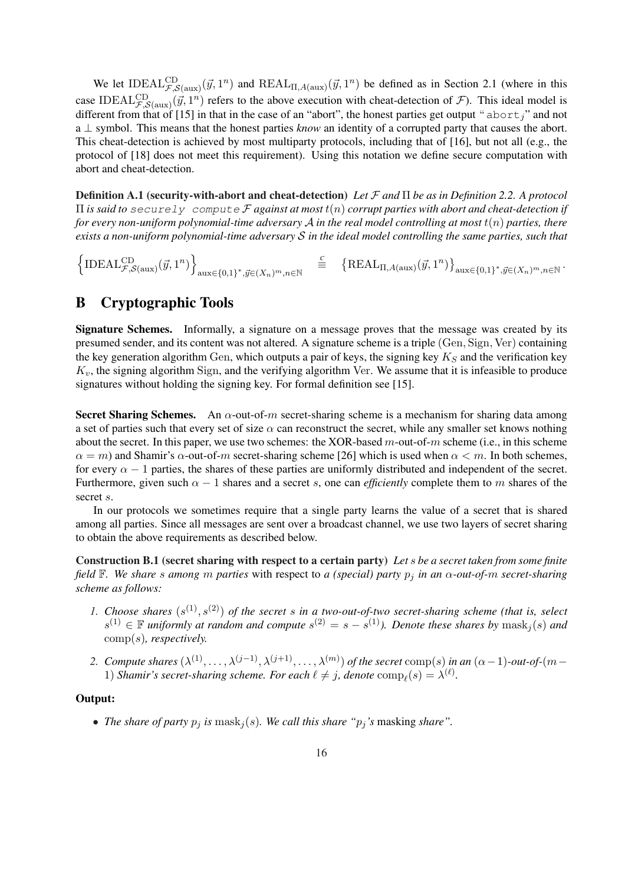We let IDEAL $_{\mathcal{F},\mathcal{S}(\text{aux})}^{\text{CD}}(\vec{y},1^n)$  and  $REAL_{\Pi,A(\text{aux})}(\vec{y},1^n)$  be defined as in Section 2.1 (where in this case IDEAL $_{\mathcal{F},\mathcal{S}(\text{aux})}^{\text{CD}}(\vec{y},1^n)$  refers to the above execution with cheat-detection of  $\mathcal{F}$ ). This ideal model is different from that of [15] in that in the case of an "abort", the honest parties get output " $abort''$  and not a ⊥ symbol. This means that the honest parties *know* an identity of a corrupted party that causes the abort. This cheat-detection is achieved by most multiparty protocols, including that of [16], but not all (e.g., the protocol of [18] does not meet this requirement). Using this notation we define secure computation with abort and cheat-detection.

Definition A.1 (security-with-abort and cheat-detection) *Let* F *and* Π *be as in Definition 2.2. A protocol* Π *is said to* securely compute F *against at most* t(n) *corrupt parties with abort and cheat-detection if for every non-uniform polynomial-time adversary* A *in the real model controlling at most* t(n) *parties, there exists a non-uniform polynomial-time adversary* S *in the ideal model controlling the same parties, such that*

n  $\text{IDEAL}_{\mathcal{F},\mathcal{S}(\text{aux})}^{\text{CD}}(\vec{y},1^n)$ o  $aux\in\{0,1\}^*, \vec{y} \in (X_n)^m, n \in \mathbb{N}$ *C* ≡ ©  $\text{REAL}_{\Pi, A(\text{aux})}(\vec{y}, 1^n)$ ª  $\text{aux} \in \{0,1\}^*, \vec{y} \in (X_n)^m, n \in \mathbb{N}$  .

# B Cryptographic Tools

Signature Schemes. Informally, a signature on a message proves that the message was created by its presumed sender, and its content was not altered. A signature scheme is a triple (Gen, Sign, Ver) containing the key generation algorithm Gen, which outputs a pair of keys, the signing key  $K<sub>S</sub>$  and the verification key  $K_v$ , the signing algorithm Sign, and the verifying algorithm Ver. We assume that it is infeasible to produce signatures without holding the signing key. For formal definition see [15].

**Secret Sharing Schemes.** An  $\alpha$ -out-of-m secret-sharing scheme is a mechanism for sharing data among a set of parties such that every set of size  $\alpha$  can reconstruct the secret, while any smaller set knows nothing about the secret. In this paper, we use two schemes: the XOR-based  $m$ -out-of- $m$  scheme (i.e., in this scheme  $\alpha = m$ ) and Shamir's  $\alpha$ -out-of-m secret-sharing scheme [26] which is used when  $\alpha < m$ . In both schemes, for every  $\alpha - 1$  parties, the shares of these parties are uniformly distributed and independent of the secret. Furthermore, given such  $\alpha - 1$  shares and a secret s, one can *efficiently* complete them to m shares of the secret s.

In our protocols we sometimes require that a single party learns the value of a secret that is shared among all parties. Since all messages are sent over a broadcast channel, we use two layers of secret sharing to obtain the above requirements as described below.

Construction B.1 (secret sharing with respect to a certain party) *Let* s *be a secret taken from some finite field*  $\mathbb{F}$ *. We share s among* m *parties* with respect to *a* (special) party  $p_j$  *in an*  $\alpha$ -out-of-m secret-sharing *scheme as follows:*

- 1. Choose shares  $(s^{(1)}, s^{(2)})$  of the secret s in a two-out-of-two secret-sharing scheme (that is, select  $s^{(1)}$  ∈ **F** uniformly at random and compute  $s^{(2)} = s - s^{(1)}$ ). Denote these shares by mask<sub>j</sub>(s) and comp(s)*, respectively.*
- 2. *Compute shares*  $(\lambda^{(1)}, \ldots, \lambda^{(j-1)}, \lambda^{(j+1)}, \ldots, \lambda^{(m)})$  *of the secret* comp(s) *in an*  $(\alpha 1)$ *-out-of-*( $m-$ 1) *Shamir's secret-sharing scheme. For each*  $\ell \neq j$ , denote  $comp_{\ell}(s) = \lambda^{(\ell)}$ .

## Output:

• *The share of party*  $p_j$  *is* mask<sub>j</sub>(*s*)*. We call this share "* $p_j$ *'s* masking *share"*.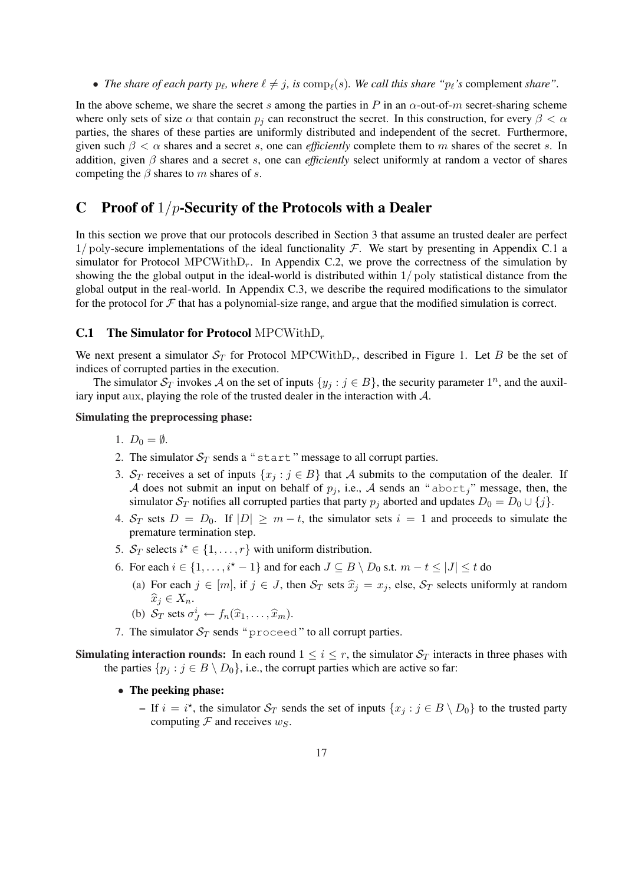• *The share of each party*  $p_\ell$ *, where*  $\ell \neq j$ , is  $comp_\ell(s)$ *. We call this share "* $p_\ell$ *'s* complement *share"*.

In the above scheme, we share the secret s among the parties in P in an  $\alpha$ -out-of-m secret-sharing scheme where only sets of size  $\alpha$  that contain  $p_j$  can reconstruct the secret. In this construction, for every  $\beta < \alpha$ parties, the shares of these parties are uniformly distributed and independent of the secret. Furthermore, given such  $\beta < \alpha$  shares and a secret s, one can *efficiently* complete them to m shares of the secret s. In addition, given β shares and a secret s, one can *efficiently* select uniformly at random a vector of shares competing the  $\beta$  shares to m shares of s.

# C Proof of  $1/p$ -Security of the Protocols with a Dealer

In this section we prove that our protocols described in Section 3 that assume an trusted dealer are perfect  $1/poly$ -secure implementations of the ideal functionality  $\mathcal F$ . We start by presenting in Appendix C.1 a simulator for Protocol MPCWithD<sub>r</sub>. In Appendix C.2, we prove the correctness of the simulation by showing the the global output in the ideal-world is distributed within 1/ poly statistical distance from the global output in the real-world. In Appendix C.3, we describe the required modifications to the simulator for the protocol for  $\mathcal F$  that has a polynomial-size range, and argue that the modified simulation is correct.

## **C.1** The Simulator for Protocol MPCWithD<sub>r</sub>

We next present a simulator  $S_T$  for Protocol MPCWithD<sub>r</sub>, described in Figure 1. Let B be the set of indices of corrupted parties in the execution.

The simulator  $\mathcal{S}_T$  invokes A on the set of inputs  $\{y_j : j \in B\}$ , the security parameter  $1^n$ , and the auxiliary input aux, playing the role of the trusted dealer in the interaction with  $A$ .

### Simulating the preprocessing phase:

- 1.  $D_0 = \emptyset$ .
- 2. The simulator  $S_T$  sends a "start" message to all corrupt parties.
- 3. S<sub>T</sub> receives a set of inputs  $\{x_j : j \in B\}$  that A submits to the computation of the dealer. If A does not submit an input on behalf of  $p_j$ , i.e., A sends an "abort," message, then, the simulator  $S_T$  notifies all corrupted parties that party  $p_j$  aborted and updates  $D_0 = D_0 \cup \{j\}$ .
- 4.  $S_T$  sets  $D = D_0$ . If  $|D| \ge m t$ , the simulator sets  $i = 1$  and proceeds to simulate the premature termination step.
- 5.  $S_T$  selects  $i^* \in \{1, \ldots, r\}$  with uniform distribution.
- 6. For each  $i \in \{1, \ldots, i^* 1\}$  and for each  $J \subseteq B \setminus D_0$  s.t.  $m t \leq |J| \leq t$  do
	- (a) For each  $j \in [m]$ , if  $j \in J$ , then  $S_T$  sets  $\hat{x}_i = x_j$ , else,  $S_T$  selects uniformly at random  $\widehat{x}_i \in X_n$ .
	- (b)  $S_T$  sets  $\sigma_J^i \leftarrow f_n(\widehat{x}_1, \ldots, \widehat{x}_m)$ .
- 7. The simulator  $S_T$  sends " proceed" to all corrupt parties.

**Simulating interaction rounds:** In each round  $1 \leq i \leq r$ , the simulator  $S_T$  interacts in three phases with the parties  $\{p_j : j \in B \setminus D_0\}$ , i.e., the corrupt parties which are active so far:

- The peeking phase:
	- If  $i = i^*$ , the simulator  $\mathcal{S}_T$  sends the set of inputs  $\{x_j : j \in B \setminus D_0\}$  to the trusted party computing  $\mathcal F$  and receives  $w_S$ .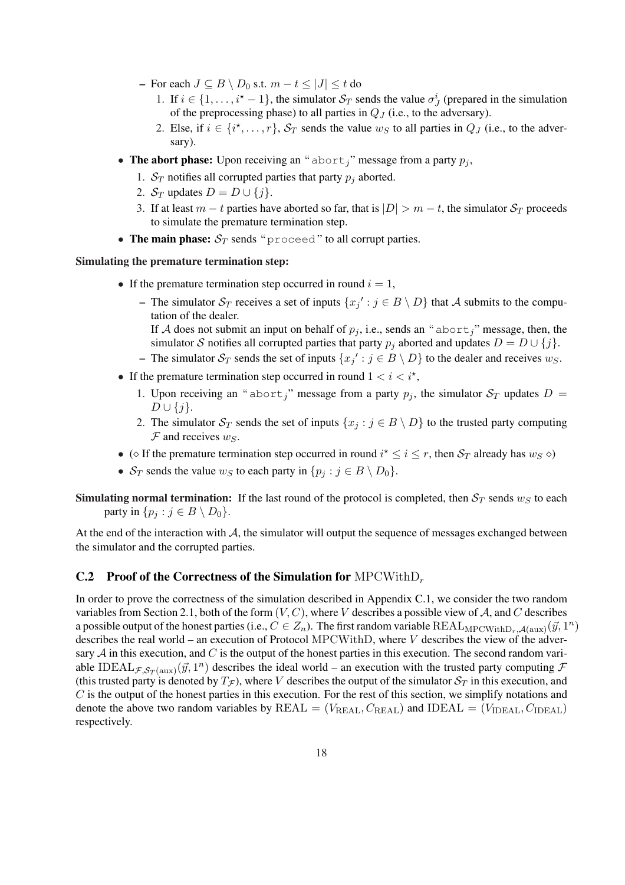- For each  $J ⊆ B \setminus D_0$  s.t.  $m t ≤ |J| ≤ t$  do
	- 1. If  $i \in \{1, \ldots, i^* 1\}$ , the simulator  $S_T$  sends the value  $\sigma^i_j$  (prepared in the simulation of the preprocessing phase) to all parties in  $Q_J$  (i.e., to the adversary).
	- 2. Else, if  $i \in \{i^*, \ldots, r\}$ ,  $S_T$  sends the value  $w_S$  to all parties in  $Q_J$  (i.e., to the adversary).
- The abort phase: Upon receiving an "abort<sub>i</sub>" message from a party  $p_i$ ,
	- 1.  $S_T$  notifies all corrupted parties that party  $p_j$  aborted.
	- 2.  $S_T$  updates  $D = D \cup \{j\}$ .
	- 3. If at least  $m t$  parties have aborted so far, that is  $|D| > m t$ , the simulator  $S_T$  proceeds to simulate the premature termination step.
- The main phase:  $S_T$  sends "proceed" to all corrupt parties.

## Simulating the premature termination step:

- If the premature termination step occurred in round  $i = 1$ ,
	- The simulator  $S_T$  receives a set of inputs  $\{x_j' : j \in B \setminus D\}$  that A submits to the computation of the dealer.

If A does not submit an input on behalf of  $p_i$ , i.e., sends an "abort<sub>i</sub>" message, then, the simulator S notifies all corrupted parties that party  $p_i$  aborted and updates  $D = D \cup \{j\}$ .

- The simulator  $S_T$  sends the set of inputs  $\{x_j' : j \in B \setminus D\}$  to the dealer and receives  $w_S$ .
- If the premature termination step occurred in round  $1 < i < i^*$ ,
	- 1. Upon receiving an "abort<sub>i</sub>" message from a party  $p_i$ , the simulator  $S_T$  updates  $D =$  $D \cup \{j\}.$
	- 2. The simulator  $S_T$  sends the set of inputs  $\{x_j : j \in B \setminus D\}$  to the trusted party computing  $\mathcal F$  and receives  $w_S$ .
- ( $\diamond$  If the premature termination step occurred in round  $i^* \leq i \leq r$ , then  $\mathcal{S}_T$  already has  $w_S \diamond$ )
- $S_T$  sends the value  $w_S$  to each party in  $\{p_j : j \in B \setminus D_0\}.$

**Simulating normal termination:** If the last round of the protocol is completed, then  $S_T$  sends  $w_S$  to each party in  $\{p_i : j \in B \setminus D_0\}.$ 

At the end of the interaction with  $\mathcal{A}$ , the simulator will output the sequence of messages exchanged between the simulator and the corrupted parties.

## **C.2** Proof of the Correctness of the Simulation for  $MPCWithD_r$

In order to prove the correctness of the simulation described in Appendix C.1, we consider the two random variables from Section 2.1, both of the form  $(V, C)$ , where V describes a possible view of A, and C describes a possible output of the honest parties (i.e.,  $C\in Z_n$ ). The first random variable  $\text{REAL}_{\text{MPCWithD}_r,\mathcal{A}(\text{aux})}(\vec{y},1^n)$ describes the real world – an execution of Protocol MPCWithD, where V describes the view of the adversary  $A$  in this execution, and  $C$  is the output of the honest parties in this execution. The second random variable IDEAL $_{\mathcal{F},\mathcal{S}_T(\text{aux})}(\vec{y},1^n)$  describes the ideal world – an execution with the trusted party computing  $\mathcal F$ (this trusted party is denoted by  $T_{\mathcal{F}}$ ), where V describes the output of the simulator  $\mathcal{S}_T$  in this execution, and  $C$  is the output of the honest parties in this execution. For the rest of this section, we simplify notations and denote the above two random variables by  $REAL = (V_{REAL}, C_{REAL})$  and  $IDEAL = (V_{IDEAL}, C_{IDEAL})$ respectively.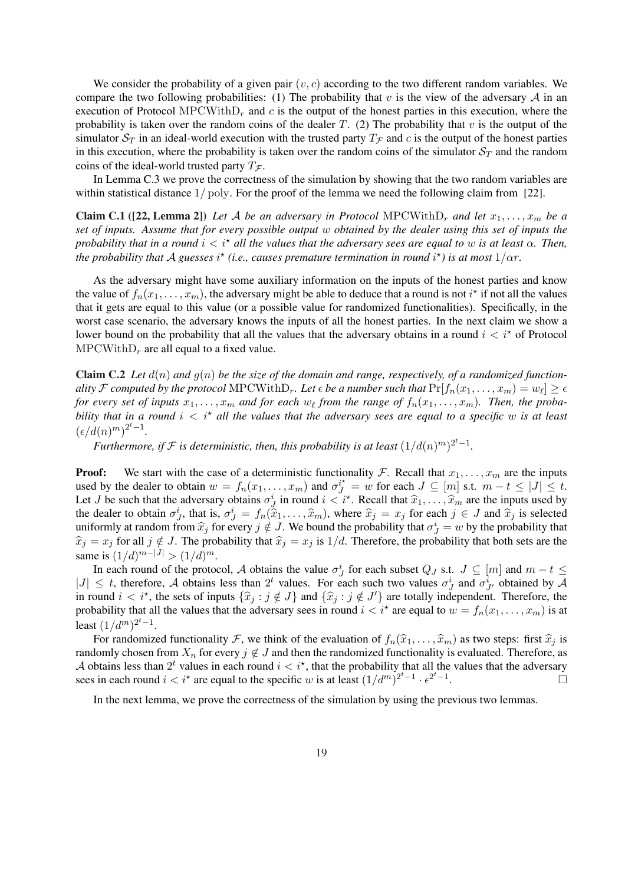We consider the probability of a given pair  $(v, c)$  according to the two different random variables. We compare the two following probabilities: (1) The probability that v is the view of the adversary  $A$  in an execution of Protocol MPCWith $D_r$  and c is the output of the honest parties in this execution, where the probability is taken over the random coins of the dealer T. (2) The probability that v is the output of the simulator  $S_T$  in an ideal-world execution with the trusted party  $T_F$  and c is the output of the honest parties in this execution, where the probability is taken over the random coins of the simulator  $S_T$  and the random coins of the ideal-world trusted party  $T_{\mathcal{F}}$ .

In Lemma C.3 we prove the correctness of the simulation by showing that the two random variables are within statistical distance  $1/\text{poly}$ . For the proof of the lemma we need the following claim from [22].

Claim C.1 ([22, Lemma 2]) Let A be an adversary in Protocol MPCWithD<sub>r</sub> and let  $x_1, \ldots, x_m$  be a *set of inputs. Assume that for every possible output* w *obtained by the dealer using this set of inputs the probability that in a round*  $i < i^*$  *all the values that the adversary sees are equal to w is at least*  $\alpha$ *. Then, the probability that A guesses*  $i^{\star}$  (i.e., causes premature termination in round  $i^{\star}$ ) is at most  $1/\alpha r$ .

As the adversary might have some auxiliary information on the inputs of the honest parties and know the value of  $f_n(x_1,\ldots,x_m)$ , the adversary might be able to deduce that a round is not  $i^*$  if not all the values that it gets are equal to this value (or a possible value for randomized functionalities). Specifically, in the worst case scenario, the adversary knows the inputs of all the honest parties. In the next claim we show a lower bound on the probability that all the values that the adversary obtains in a round  $i < i^*$  of Protocol  $MPCWithD<sub>r</sub>$  are all equal to a fixed value.

**Claim C.2** Let  $d(n)$  and  $q(n)$  be the size of the domain and range, respectively, of a randomized functionality  $\cal F$  computed by the protocol  $\text{MPCWith} D_r.$  Let  $\epsilon$  be a number such that  $\text{Pr}[f_n(x_1,\ldots,x_m)=w_\ell]\geq \epsilon$ *for every set of inputs*  $x_1, \ldots, x_m$  and for each  $w_\ell$  from the range of  $f_n(x_1, \ldots, x_m)$ . Then, the proba*bility that in a round*  $i < i^*$  *all the values that the adversary sees are equal to a specific* w *is at least*  $(\epsilon/d(n)^m)^{2^t-1}.$ 

*Furthermore, if*  $\mathcal F$  *is deterministic, then, this probability is at least*  $(1/d(n)^m)^{2^t-1}$ *.* 

**Proof:** We start with the case of a deterministic functionality F. Recall that  $x_1, \ldots, x_m$  are the inputs used by the dealer to obtain  $w = f_n(x_1, \ldots, x_m)$  and  $\sigma_j^{i^*} = w$  for each  $J \subseteq [m]$  s.t.  $m - t \le |J| \le t$ . Let J be such that the adversary obtains  $\sigma_j^i$  in round  $i < i^*$ . Recall that  $\hat{x}_1, \dots, \hat{x}_m$  are the inputs used by the dealer to obtain  $\sigma_j^i$ , that is,  $\sigma_j^i = f_n(\hat{x}_1,\ldots,\hat{x}_m)$ , where  $\hat{x}_j = x_j$  for each  $j \in J$  and  $\hat{x}_j$  is selected uniformly at random from  $\hat{x}_j$  for every  $j \notin J$ . We bound the probability that  $\sigma_j^i = w$  by the probability that  $\hat{x}_j = x_j$  for all  $j \notin J$ . The probability that  $\hat{x}_j = x_j$  is  $1/d$ . Therefore, the probability that both sets are the same is  $(1/d)^{m-|J|} > (1/d)^m$ .

In each round of the protocol, A obtains the value  $\sigma_j^i$  for each subset  $Q_j$  s.t.  $J \subseteq [m]$  and  $m - t \leq$  $|J| \leq t$ , therefore, A obtains less than  $2^t$  values. For each such two values  $\sigma_j^i$  and  $\sigma_{j'}^i$  obtained by A in round  $i < i^*$ , the sets of inputs  $\{\hat{x}_j : j \notin J\}$  and  $\{\hat{x}_j : j \notin J'\}$  are totally independent. Therefore, the probability that all the values that the adversary sees in round  $i < i^*$  are equal to  $w = f_n(x_1, \ldots, x_m)$  is at least  $(1/d^m)^{2^t-1}$ .

For randomized functionality F, we think of the evaluation of  $f_n(\hat{x}_1, \dots, \hat{x}_m)$  as two steps: first  $\hat{x}_j$  is randomly chosen from  $X_n$  for every  $j \notin J$  and then the randomized functionality is evaluated. Therefore, as A obtains less than  $2^t$  values in each round  $i < i^*$ , that the probability that all the values that the adversary sees in each round  $i < i^*$  are equal to the specific w is at least  $(1/d^m)^{2^t-1} \cdot \epsilon^{2^t-1}$ .

In the next lemma, we prove the correctness of the simulation by using the previous two lemmas.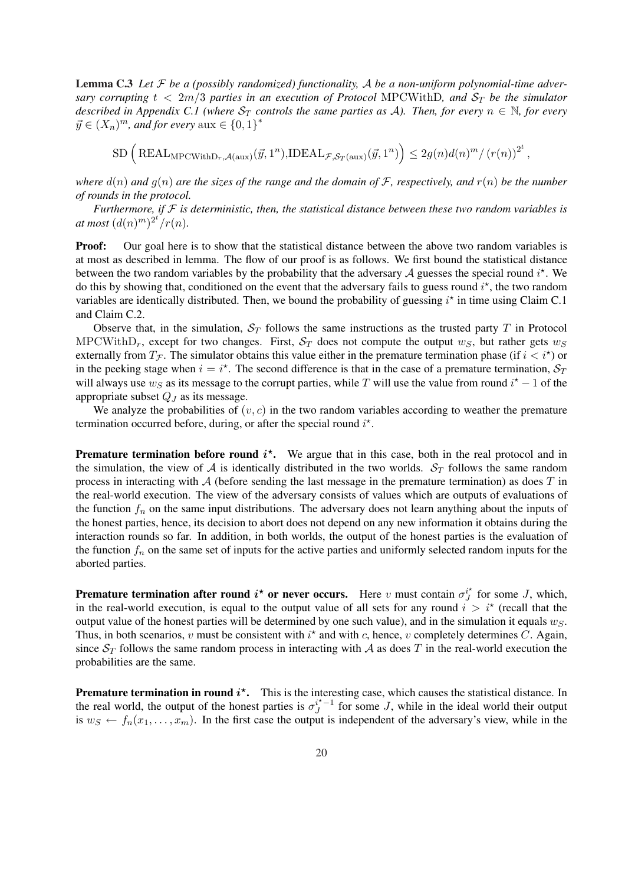Lemma C.3 *Let* F *be a (possibly randomized) functionality,* A *be a non-uniform polynomial-time adversary corrupting*  $t < 2m/3$  *parties in an execution of Protocol MPCWithD, and*  $S_T$  *be the simulator described in Appendix C.1 (where*  $S_T$  *controls the same parties as A). Then, for every*  $n \in \mathbb{N}$ *, for every*  $\vec{y} \in (X_n)^m$ , and for every  $\text{aux} \in \{0,1\}^*$ 

 $\text{SD} \left( \text{REAL}_{\text{MPCWithD}_r, \mathcal{A}(\text{aux})}(\vec{y}, 1^n), \text{IDEAL}_{\mathcal{F}, \mathcal{S}_T(\text{aux})}(\vec{y}, 1^n) \right)$ ´  $\leq 2g(n)d(n)^m/(r(n))^{2^t},$ 

*where*  $d(n)$  *and*  $g(n)$  *are the sizes of the range and the domain of*  $F$ *, respectively, and*  $r(n)$  *be the number of rounds in the protocol.*

*Furthermore, if* F *is deterministic, then, the statistical distance between these two random variables is at most*  $(d(n)^m)^{2^t}/r(n)$ *.* 

**Proof:** Our goal here is to show that the statistical distance between the above two random variables is at most as described in lemma. The flow of our proof is as follows. We first bound the statistical distance between the two random variables by the probability that the adversary A guesses the special round  $i^*$ . We do this by showing that, conditioned on the event that the adversary fails to guess round  $i^*$ , the two random variables are identically distributed. Then, we bound the probability of guessing  $i^*$  in time using Claim C.1 and Claim C.2.

Observe that, in the simulation,  $S_T$  follows the same instructions as the trusted party T in Protocol MPCWithD<sub>r</sub>, except for two changes. First,  $S_T$  does not compute the output  $w_S$ , but rather gets  $w_S$ externally from  $T_f$ . The simulator obtains this value either in the premature termination phase (if  $i < i^*$ ) or in the peeking stage when  $i = i^*$ . The second difference is that in the case of a premature termination,  $S_T$ will always use  $w_S$  as its message to the corrupt parties, while T will use the value from round  $i^* - 1$  of the appropriate subset  $Q_J$  as its message.

We analyze the probabilities of  $(v, c)$  in the two random variables according to weather the premature termination occurred before, during, or after the special round  $i^*$ .

**Premature termination before round**  $i^*$ **.** We argue that in this case, both in the real protocol and in the simulation, the view of A is identically distributed in the two worlds.  $S_T$  follows the same random process in interacting with  $A$  (before sending the last message in the premature termination) as does  $T$  in the real-world execution. The view of the adversary consists of values which are outputs of evaluations of the function  $f_n$  on the same input distributions. The adversary does not learn anything about the inputs of the honest parties, hence, its decision to abort does not depend on any new information it obtains during the interaction rounds so far. In addition, in both worlds, the output of the honest parties is the evaluation of the function  $f_n$  on the same set of inputs for the active parties and uniformly selected random inputs for the aborted parties.

**Premature termination after round**  $i^*$  **or never occurs.** Here v must contain  $\sigma_i^{i^*}$  $i_J^*$  for some J, which, in the real-world execution, is equal to the output value of all sets for any round  $i > i^*$  (recall that the output value of the honest parties will be determined by one such value), and in the simulation it equals  $w_S$ . Thus, in both scenarios, v must be consistent with  $i^*$  and with c, hence, v completely determines C. Again, since  $S_T$  follows the same random process in interacting with A as does T in the real-world execution the probabilities are the same.

**Premature termination in round**  $i^*$ **.** This is the interesting case, which causes the statistical distance. In the real world, the output of the honest parties is  $\sigma_i^{i^*-1}$  $\int_{J}^{l^* - 1}$  for some J, while in the ideal world their output is  $w_S \leftarrow f_n(x_1, \ldots, x_m)$ . In the first case the output is independent of the adversary's view, while in the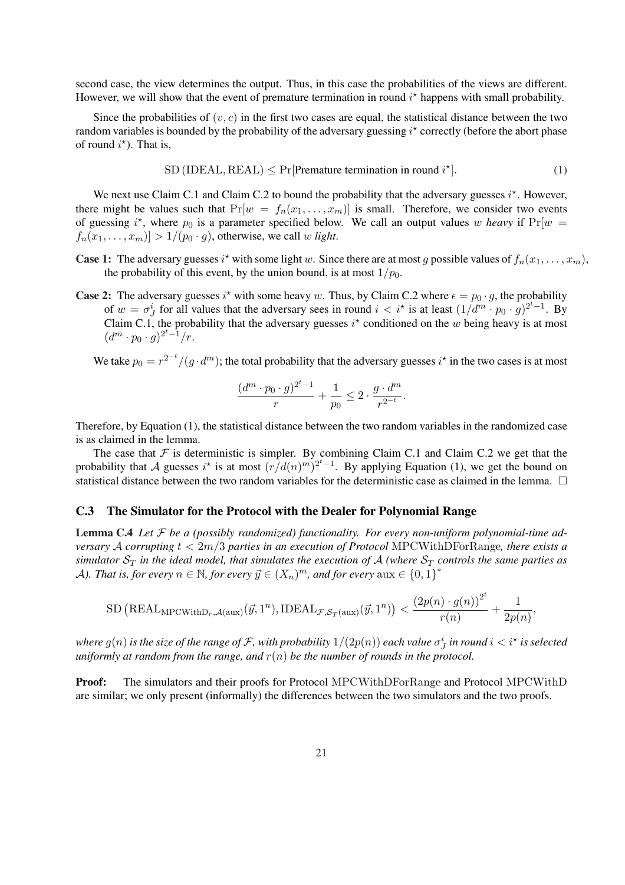second case, the view determines the output. Thus, in this case the probabilities of the views are different. However, we will show that the event of premature termination in round  $i^*$  happens with small probability.

Since the probabilities of  $(v, c)$  in the first two cases are equal, the statistical distance between the two random variables is bounded by the probability of the adversary guessing  $i^*$  correctly (before the abort phase of round  $i^*$ ). That is,

$$
SD (IDEAL, REAL) \leq Pr[Premature termination in round i*].
$$
\n(1)

We next use Claim C.1 and Claim C.2 to bound the probability that the adversary guesses  $i^*$ . However, there might be values such that  $Pr[w = f_n(x_1, \ldots, x_m)]$  is small. Therefore, we consider two events of guessing  $i^*$ , where  $p_0$  is a parameter specified below. We call an output values w *heavy* if  $Pr[w =$  $f_n(x_1, \ldots, x_m)$  > 1/( $p_0 \cdot g$ ), otherwise, we call w *light*.

- **Case 1:** The adversary guesses  $i^*$  with some light w. Since there are at most g possible values of  $f_n(x_1, \ldots, x_m)$ , the probability of this event, by the union bound, is at most  $1/p_0$ .
- **Case 2:** The adversary guesses  $i^*$  with some heavy w. Thus, by Claim C.2 where  $\epsilon = p_0 \cdot g$ , the probability of  $w = \sigma_j^i$  for all values that the adversary sees in round  $i < i^*$  is at least  $(1/d^m \cdot p_0 \cdot g)^{2^t-1}$ . By Claim C.1, the probability that the adversary guesses  $i^*$  conditioned on the w being heavy is at most  $(d^m \cdot p_0 \cdot g)^{2^t-1}/r.$

We take  $p_0 = r^{2^{-t}}/(g \cdot d^m)$ ; the total probability that the adversary guesses  $i^*$  in the two cases is at most

$$
\frac{(d^m\cdot p_0\cdot g)^{2^t-1}}{r}+\frac{1}{p_0}\leq 2\cdot \frac{g\cdot d^m}{r^{2^{-t}}}.
$$

Therefore, by Equation (1), the statistical distance between the two random variables in the randomized case is as claimed in the lemma.

The case that  $F$  is deterministic is simpler. By combining Claim C.1 and Claim C.2 we get that the probability that A guesses i<sup>\*</sup> is at most  $\left(\frac{r}{d(n)^m}\right)^{2^t-1}$ . By applying Equation (1), we get the bound on statistical distance between the two random variables for the deterministic case as claimed in the lemma.  $\Box$ 

## C.3 The Simulator for the Protocol with the Dealer for Polynomial Range

Lemma C.4 *Let* F *be a (possibly randomized) functionality. For every non-uniform polynomial-time adversary* A *corrupting* t < 2m/3 *parties in an execution of Protocol* MPCWithDForRange*, there exists a simulator*  $S_T$  *in the ideal model, that simulates the execution of* A *(where*  $S_T$  *controls the same parties as* A). That is, for every  $n \in \mathbb{N}$ , for every  $\vec{y} \in (X_n)^m$ , and for every  $\text{aux} \in \{0,1\}^*$ 

$$
\mathrm{SD}\left(\mathrm{REAL}_{\mathrm{MPCWithD}_r, \mathcal{A}(\mathrm{aux})}(\vec{y}, 1^n), \mathrm{IDEAL}_{\mathcal{F}, \mathcal{S}_T(\mathrm{aux})}(\vec{y}, 1^n)\right) < \frac{\left(2p(n)\cdot g(n)\right)^{2^t}}{r(n)} + \frac{1}{2p(n)},
$$

where  $g(n)$  is the size of the range of F, with probability  $1/(2p(n))$  each value  $\sigma^i_J$  in round  $i < i^\star$  is selected *uniformly at random from the range, and*  $r(n)$  *be the number of rounds in the protocol.* 

Proof: The simulators and their proofs for Protocol MPCWithDForRange and Protocol MPCWithD are similar; we only present (informally) the differences between the two simulators and the two proofs.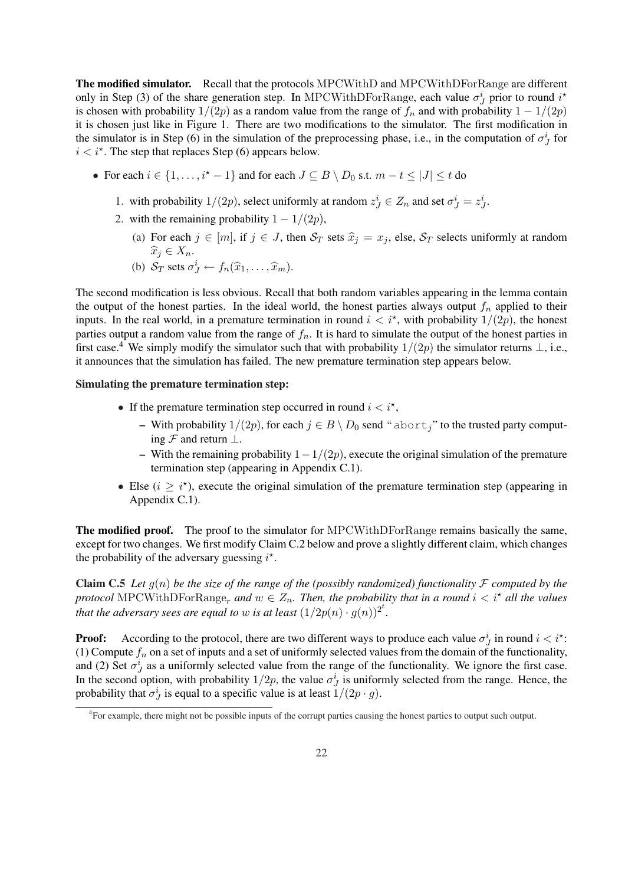The modified simulator. Recall that the protocols MPCWithD and MPCWithDForRange are different only in Step (3) of the share generation step. In MPCWithDForRange, each value  $\sigma_j^i$  prior to round  $i^*$ is chosen with probability  $1/(2p)$  as a random value from the range of  $f_n$  and with probability  $1 - 1/(2p)$ it is chosen just like in Figure 1. There are two modifications to the simulator. The first modification in the simulator is in Step (6) in the simulation of the preprocessing phase, i.e., in the computation of  $\sigma_J^i$  for  $i < i^*$ . The step that replaces Step (6) appears below.

- For each  $i \in \{1, \ldots, i^* 1\}$  and for each  $J \subseteq B \setminus D_0$  s.t.  $m t \leq |J| \leq t$  do
	- 1. with probability  $1/(2p)$ , select uniformly at random  $z_j^i \in Z_n$  and set  $\sigma_j^i = z_j^i$ .
	- 2. with the remaining probability  $1 1/(2p)$ ,
		- (a) For each  $j \in [m]$ , if  $j \in J$ , then  $S_T$  sets  $\hat{x}_j = x_j$ , else,  $S_T$  selects uniformly at random  $\widehat{x}_i \in X_n$ .
		- (b)  $S_T$  sets  $\sigma_J^i \leftarrow f_n(\widehat{x}_1, \ldots, \widehat{x}_m)$ .

The second modification is less obvious. Recall that both random variables appearing in the lemma contain the output of the honest parties. In the ideal world, the honest parties always output  $f_n$  applied to their inputs. In the real world, in a premature termination in round  $i < i^*$ , with probability  $1/(2p)$ , the honest parties output a random value from the range of  $f_n$ . It is hard to simulate the output of the honest parties in first case.<sup>4</sup> We simply modify the simulator such that with probability  $1/(2p)$  the simulator returns  $\perp$ , i.e., it announces that the simulation has failed. The new premature termination step appears below.

## Simulating the premature termination step:

- If the premature termination step occurred in round  $i < i^*$ ,
	- With probability  $1/(2p)$ , for each  $j \in B \setminus D_0$  send " abort," to the trusted party computing  $\mathcal F$  and return  $\perp$ .
	- With the remaining probability  $1-\frac{1}{2p}$ , execute the original simulation of the premature termination step (appearing in Appendix C.1).
- Else ( $i \geq i^*$ ), execute the original simulation of the premature termination step (appearing in Appendix C.1).

The modified proof. The proof to the simulator for MPCWithDForRange remains basically the same, except for two changes. We first modify Claim C.2 below and prove a slightly different claim, which changes the probability of the adversary guessing  $i^*$ .

**Claim C.5** Let  $g(n)$  be the size of the range of the (possibly randomized) functionality F computed by the *protocol* MPCWithDForRange<sub>r</sub> and  $w \in Z_n$ . Then, the probability that in a round  $i < i^*$  all the values *that the adversary sees are equal to w is at least*  $(1/2p(n)\cdot g(n))^{2^t}$ .

**Proof:** According to the protocol, there are two different ways to produce each value  $\sigma_j^i$  in round  $i < i^*$ : (1) Compute  $f_n$  on a set of inputs and a set of uniformly selected values from the domain of the functionality, and (2) Set  $\sigma_j^i$  as a uniformly selected value from the range of the functionality. We ignore the first case. In the second option, with probability  $1/2p$ , the value  $\sigma_j^i$  is uniformly selected from the range. Hence, the probability that  $\sigma_J^i$  is equal to a specific value is at least  $1/(2p \cdot g)$ .

<sup>4</sup> For example, there might not be possible inputs of the corrupt parties causing the honest parties to output such output.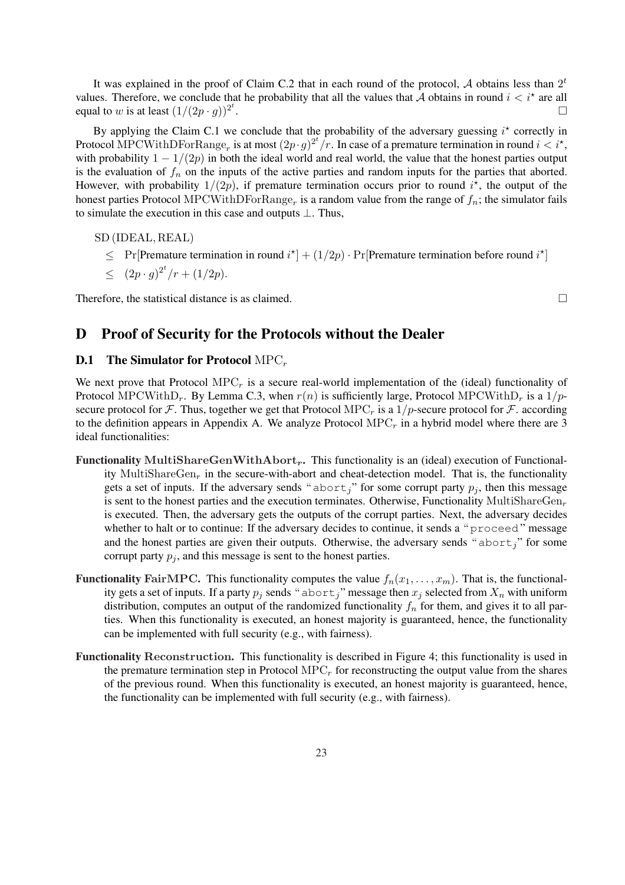It was explained in the proof of Claim C.2 that in each round of the protocol, A obtains less than  $2<sup>t</sup>$ values. Therefore, we conclude that he probability that all the values that  $\tilde{A}$  obtains in round  $i < i^*$  are all equal to w is at least  $(1/(2p \cdot g))^{2^t}$ . ¤

By applying the Claim C.1 we conclude that the probability of the adversary guessing  $i^*$  correctly in Protocol MPCWithDForRange<sub>r</sub> is at most  $(2p \cdot g)^{2^t}/r$ . In case of a premature termination in round  $i < i^*$ , with probability  $1 - 1/(2p)$  in both the ideal world and real world, the value that the honest parties output is the evaluation of  $f_n$  on the inputs of the active parties and random inputs for the parties that aborted. However, with probability  $1/(2p)$ , if premature termination occurs prior to round  $i^*$ , the output of the honest parties Protocol MPCWithDForRange<sub>r</sub> is a random value from the range of  $f_n$ ; the simulator fails to simulate the execution in this case and outputs ⊥. Thus,

SD (IDEAL, REAL)

- $\leq$  Pr [Premature termination in round  $i^*$ ] +  $(1/2p)$  · Pr [Premature termination before round  $i^*$ ]
- $\leq (2p \cdot g)^{2^t}/r + (1/2p).$

Therefore, the statistical distance is as claimed.  $\Box$ 

## D Proof of Security for the Protocols without the Dealer

## **D.1** The Simulator for Protocol  $\text{MPC}_r$

We next prove that Protocol  $\text{MPC}_r$  is a secure real-world implementation of the (ideal) functionality of Protocol MPCWithD<sub>r</sub>. By Lemma C.3, when  $r(n)$  is sufficiently large, Protocol MPCWithD<sub>r</sub> is a 1/psecure protocol for F. Thus, together we get that Protocol MPC<sub>r</sub> is a  $1/p$ -secure protocol for F. according to the definition appears in Appendix A. We analyze Protocol  $\text{MPC}_r$  in a hybrid model where there are 3 ideal functionalities:

- Functionality MultiShareGenWithAbort<sub>r</sub>. This functionality is an (ideal) execution of Functionality MultiShareGen<sub>r</sub> in the secure-with-abort and cheat-detection model. That is, the functionality gets a set of inputs. If the adversary sends " $abort<sub>j</sub>$ " for some corrupt party  $p<sub>j</sub>$ , then this message is sent to the honest parties and the execution terminates. Otherwise, Functionality MultiShareGen<sub>r</sub> is executed. Then, the adversary gets the outputs of the corrupt parties. Next, the adversary decides whether to halt or to continue: If the adversary decides to continue, it sends a "proceed" message and the honest parties are given their outputs. Otherwise, the adversary sends " $abort''$  for some corrupt party  $p_j$ , and this message is sent to the honest parties.
- **Functionality FairMPC.** This functionality computes the value  $f_n(x_1, \ldots, x_m)$ . That is, the functionality gets a set of inputs. If a party  $p_j$  sends " abort," message then  $x_j$  selected from  $X_n$  with uniform distribution, computes an output of the randomized functionality  $f_n$  for them, and gives it to all parties. When this functionality is executed, an honest majority is guaranteed, hence, the functionality can be implemented with full security (e.g., with fairness).
- Functionality Reconstruction. This functionality is described in Figure 4; this functionality is used in the premature termination step in Protocol  $\text{MPC}_r$  for reconstructing the output value from the shares of the previous round. When this functionality is executed, an honest majority is guaranteed, hence, the functionality can be implemented with full security (e.g., with fairness).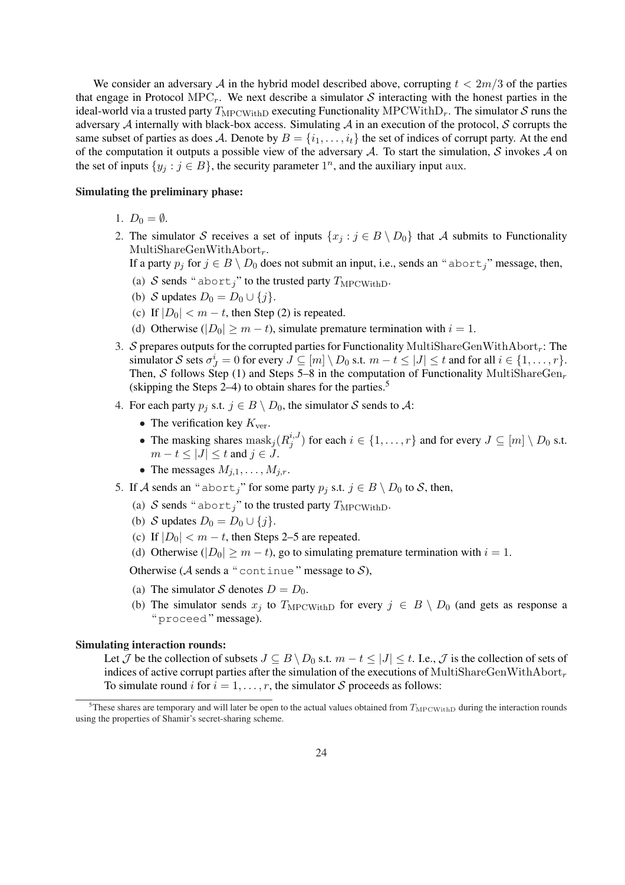We consider an adversary A in the hybrid model described above, corrupting  $t < 2m/3$  of the parties that engage in Protocol MPC<sub>r</sub>. We next describe a simulator S interacting with the honest parties in the ideal-world via a trusted party  $T_{\text{MPCWithD}}$  executing Functionality MPCWithD<sub>r</sub>. The simulator S runs the adversary  $A$  internally with black-box access. Simulating  $A$  in an execution of the protocol,  $S$  corrupts the same subset of parties as does A. Denote by  $B = \{i_1, \ldots, i_t\}$  the set of indices of corrupt party. At the end of the computation it outputs a possible view of the adversary  $A$ . To start the simulation, S invokes  $A$  on the set of inputs  $\{y_j : j \in B\}$ , the security parameter  $1^n$ , and the auxiliary input aux.

## Simulating the preliminary phase:

- 1.  $D_0 = \emptyset$ .
- 2. The simulator S receives a set of inputs  $\{x_j : j \in B \setminus D_0\}$  that A submits to Functionality MultiShareGenWithAbort $_r$ .
	- If a party  $p_j$  for  $j \in B \setminus D_0$  does not submit an input, i.e., sends an "abort<sub>j</sub>" message, then,
	- (a) S sends " abort<sub>i</sub>" to the trusted party  $T_{\text{MPCWithD}}$ .
	- (b) S updates  $D_0 = D_0 \cup \{j\}$ .
	- (c) If  $|D_0| < m t$ , then Step (2) is repeated.
	- (d) Otherwise ( $|D_0| \ge m t$ ), simulate premature termination with  $i = 1$ .
- 3. S prepares outputs for the corrupted parties for Functionality MultiShareGenWithAbort<sub>r</sub>: The simulator S sets  $\sigma^i_j = 0$  for every  $J \subseteq [m] \setminus D_0$  s.t.  $m - t \le |J| \le t$  and for all  $i \in \{1, ..., r\}$ . Then, S follows Step (1) and Steps 5–8 in the computation of Functionality MultiShareGen<sub>r</sub> (skipping the Steps  $2-4$ ) to obtain shares for the parties.<sup>5</sup>
- 4. For each party  $p_j$  s.t.  $j \in B \setminus D_0$ , the simulator S sends to A:
	- The verification key  $K_{\text{ver}}$ .
	- The masking shares  $\text{mask}_j(R_j^{i,J})$  $j^{i,J}$  for each  $i \in \{1, \ldots, r\}$  and for every  $J \subseteq [m] \setminus D_0$  s.t.  $m-t \leq |J| \leq t$  and  $j \in J$ .
	- The messages  $M_{j,1}, \ldots, M_{j,r}$ .
- 5. If A sends an "abort<sub>j</sub>" for some party  $p_j$  s.t.  $j \in B \setminus D_0$  to S, then,
	- (a) S sends " abort," to the trusted party  $T_{\text{MPCWithD}}$ .
	- (b) S updates  $D_0 = D_0 \cup \{j\}$ .
	- (c) If  $|D_0| < m t$ , then Steps 2–5 are repeated.
	- (d) Otherwise ( $|D_0| \ge m t$ ), go to simulating premature termination with  $i = 1$ .

Otherwise ( $A$  sends a "continue" message to  $S$ ).

- (a) The simulator S denotes  $D = D_0$ .
- (b) The simulator sends  $x_j$  to  $T_{\text{MPCWithD}}$  for every  $j \in B \setminus D_0$  (and gets as response a " proceed " message).

### Simulating interaction rounds:

Let  $\mathcal J$  be the collection of subsets  $J \subseteq B \setminus D_0$  s.t.  $m - t \leq |J| \leq t$ . I.e.,  $\mathcal J$  is the collection of sets of indices of active corrupt parties after the simulation of the executions of MultiShareGenWithAbort<sub>r</sub> To simulate round i for  $i = 1, \ldots, r$ , the simulator S proceeds as follows:

<sup>&</sup>lt;sup>5</sup>These shares are temporary and will later be open to the actual values obtained from  $T_{\text{MPCWithD}}$  during the interaction rounds using the properties of Shamir's secret-sharing scheme.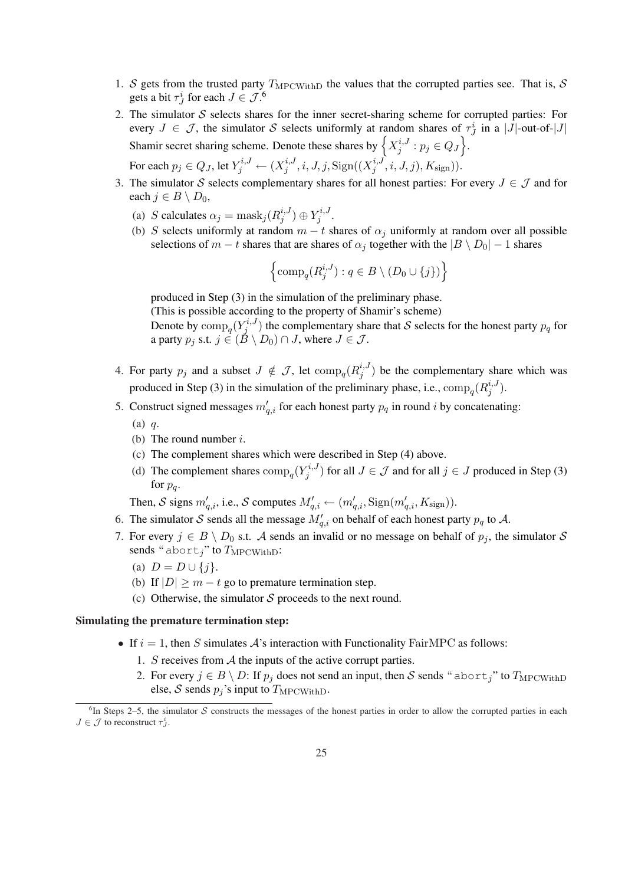- 1. S gets from the trusted party  $T_{\text{MPCWithD}}$  the values that the corrupted parties see. That is, S gets a bit  $\tau^i_J$  for each  $J \in \mathcal{J}^{\{6\}}$ .
- 2. The simulator  $S$  selects shares for the inner secret-sharing scheme for corrupted parties: For every  $J \in \mathcal{J}$ , the simulator S selects uniformly at random shares of  $\tau_J^i$  in a |J|-out-of-|J| Every  $J \in J$ , the simulator  $S$  selects uniformly at randor<br>Shamir secret sharing scheme. Denote these shares by  $\left\{X_i^{i,j}\right\}$  $j^{i,J}: p_j\in Q_J$ . For each  $p_j \in Q_J,$  let  $Y_j^{i,J} \leftarrow (X_j^{i,J})$  $j^{i,J}, i, J, j, \text{Sign}((X_j^{i,J}))$  $j^{i,J},i,J,j),K_{\text{sign}})).$
- 3. The simulator S selects complementary shares for all honest parties: For every  $J \in \mathcal{J}$  and for each  $j \in B \setminus D_0$ ,
	- (a) S calculates  $\alpha_j = \text{mask}_j(R_j^{i,j})$  $j^{i,J})\oplus Y_j^{i,J}$  $_{j}^{n,J}.$
	- (b) S selects uniformly at random  $m t$  shares of  $\alpha_j$  uniformly at random over all possible selections of  $m - t$  shares that are shares of  $\alpha_j$  together with the  $|B \setminus D_0| - 1$  shares

$$
\left\{\mathrm{comp}_q(R_j^{i,J}): q \in B \setminus (D_0 \cup \{j\})\right\}
$$

produced in Step (3) in the simulation of the preliminary phase.

(This is possible according to the property of Shamir's scheme)

Denote by  $\text{comp}_q(Y_j^{i,J})$  $j^{(i,j)}$  the complementary share that S selects for the honest party  $p_q$  for a party  $p_j$  s.t.  $j \in (B \setminus D_0) \cap J$ , where  $J \in \mathcal{J}$ .

- 4. For party  $p_j$  and a subset  $J \notin \mathcal{J}$ , let  $\text{comp}_q(R_j^{i,J})$  $j^{i,j}$ ) be the complementary share which was produced in Step (3) in the simulation of the preliminary phase, i.e.,  $\text{comp}_q(R_j^{i,J})$  $\binom{i,J}{j}$ .
- 5. Construct signed messages  $m'_{q,i}$  for each honest party  $p_q$  in round i by concatenating:
	- (a) q.
	- (b) The round number  $i$ .
	- (c) The complement shares which were described in Step (4) above.
	- (d) The complement shares  $\text{comp}_q(Y_j^{i,J})$  $(j^{i,j})$  for all  $J \in \mathcal{J}$  and for all  $j \in J$  produced in Step (3) for  $p_q$ .

Then, S signs  $m'_{q,i}$ , i.e., S computes  $M'_{q,i} \leftarrow (m'_{q,i}, \text{Sign}(m'_{q,i}, K_{\text{sign}})).$ 

- 6. The simulator S sends all the message  $M'_{q,i}$  on behalf of each honest party  $p_q$  to A.
- 7. For every  $j \in B \setminus D_0$  s.t. A sends an invalid or no message on behalf of  $p_j$ , the simulator S sends " abort<sub>i</sub>" to  $T_{\text{MPCWithD}}$ :
	- (a)  $D = D \cup \{j\}.$
	- (b) If  $|D| \ge m t$  go to premature termination step.
	- (c) Otherwise, the simulator  $S$  proceeds to the next round.

## Simulating the premature termination step:

- If  $i = 1$ , then S simulates  $A$ 's interaction with Functionality FairMPC as follows:
	- 1. S receives from  $A$  the inputs of the active corrupt parties.
	- 2. For every  $j \in B \setminus D$ : If  $p_j$  does not send an input, then S sends "abort<sub>j</sub>" to  $T_{\text{MPCWithD}}$ else,  $S$  sends  $p_j$ 's input to  $T_{\text{MPCWithD}}$ .

 ${}^{6}$ In Steps 2–5, the simulator S constructs the messages of the honest parties in order to allow the corrupted parties in each  $J \in \mathcal{J}$  to reconstruct  $\tau_J^i$ .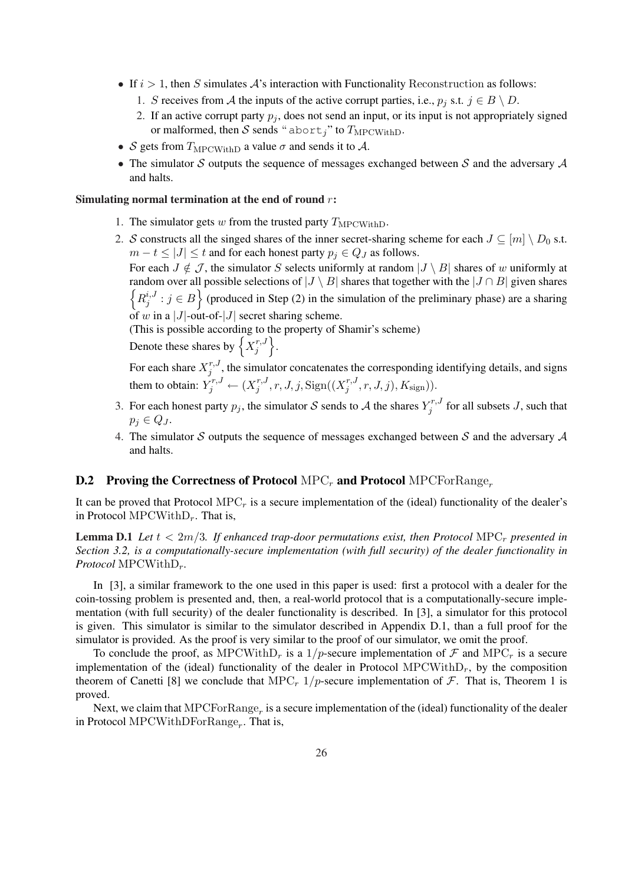- If  $i > 1$ , then S simulates  $A$ 's interaction with Functionality Reconstruction as follows:
	- 1. S receives from A the inputs of the active corrupt parties, i.e.,  $p_j$  s.t.  $j \in B \setminus D$ .
	- 2. If an active corrupt party  $p_i$ , does not send an input, or its input is not appropriately signed or malformed, then  $\mathcal S$  sends " abort<sub>j</sub>" to  $T_{\text{MPCWithD}}$ .
- S gets from  $T_{\text{MPCWithD}}$  a value  $\sigma$  and sends it to A.
- The simulator S outputs the sequence of messages exchanged between S and the adversary  $A$ and halts.

## Simulating normal termination at the end of round  $r$ :

- 1. The simulator gets  $w$  from the trusted party  $T_{\text{MPCWithD}}$ .
- 2. S constructs all the singed shares of the inner secret-sharing scheme for each  $J \subseteq [m] \setminus D_0$  s.t.  $m - t \leq |J| \leq t$  and for each honest party  $p_i \in Q_J$  as follows.

For each  $J \notin \mathcal{J}$ , the simulator S selects uniformly at random  $|J \setminus B|$  shares of w uniformly at random over all possible selections of  $|J \setminus B|$  shares that together with the  $|J \cap B|$  given shares  $R_i^{i,J}$  $j^{i,j}$ :  $j \in B$  (produced in Step (2) in the simulation of the preliminary phase) are a sharing of w in a  $|J|$ -out-of- $|J|$  secret sharing scheme.

(This is possible according to the property of Shamir's scheme)

Thus is possible according to<br>Denote these shares by  $\left\{X_i^{r,j}\right\}$  $\begin{matrix} r,J \\ j \end{matrix}$ .

For each share  $X_i^{r,J}$  $j'$ , the simulator concatenates the corresponding identifying details, and signs them to obtain:  $Y_j^{r,J} \leftarrow (X_j^{r,J})$  $j^{r,J}, r, J, j, \mathrm{Sign}((X_j^{r,J}))$  $j^{r,J}, r, J, j), K_{\text{sign}})).$ 

- 3. For each honest party  $p_j$ , the simulator S sends to A the shares  $Y_j^{r,J}$  $j^{r,r,J}$  for all subsets J, such that  $p_j \in Q_J$ .
- 4. The simulator S outputs the sequence of messages exchanged between S and the adversary  $A$ and halts.

## **D.2** Proving the Correctness of Protocol MPC<sub>r</sub> and Protocol MPCForRange<sub>r</sub>

It can be proved that Protocol  $\text{MPC}_r$  is a secure implementation of the (ideal) functionality of the dealer's in Protocol MPCWith $D_r$ . That is,

**Lemma D.1** Let  $t < 2m/3$ . If enhanced trap-door permutations exist, then Protocol MPC<sub>r</sub> presented in *Section 3.2, is a computationally-secure implementation (with full security) of the dealer functionality in Protocol* MPCWithD<sub>r</sub>.

In [3], a similar framework to the one used in this paper is used: first a protocol with a dealer for the coin-tossing problem is presented and, then, a real-world protocol that is a computationally-secure implementation (with full security) of the dealer functionality is described. In [3], a simulator for this protocol is given. This simulator is similar to the simulator described in Appendix D.1, than a full proof for the simulator is provided. As the proof is very similar to the proof of our simulator, we omit the proof.

To conclude the proof, as MPCWith $D_r$  is a 1/p-secure implementation of  $\mathcal F$  and MPC<sub>r</sub> is a secure implementation of the (ideal) functionality of the dealer in Protocol MPCWith $D_r$ , by the composition theorem of Canetti [8] we conclude that MPC<sub>r</sub> 1/p-secure implementation of  $\mathcal F$ . That is, Theorem 1 is proved.

Next, we claim that  $\text{MPCForRange}_r$  is a secure implementation of the (ideal) functionality of the dealer in Protocol MPCWithDForRange<sub>r</sub>. That is,